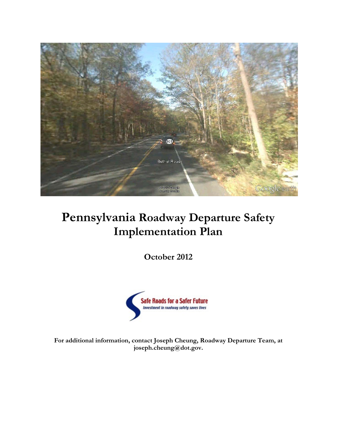

# **Pennsylvania Roadway Departure Safety Implementation Plan**

**October 2012**



**For additional information, contact Joseph Cheung, Roadway Departure Team, at joseph.cheung@dot.gov.**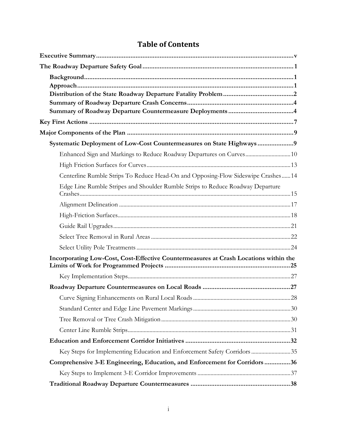| Systematic Deployment of Low-Cost Countermeasures on State Highways9                 |  |
|--------------------------------------------------------------------------------------|--|
| Enhanced Sign and Markings to Reduce Roadway Departures on Curves 10                 |  |
|                                                                                      |  |
| Centerline Rumble Strips To Reduce Head-On and Opposing-Flow Sideswipe Crashes14     |  |
| Edge Line Rumble Stripes and Shoulder Rumble Strips to Reduce Roadway Departure      |  |
|                                                                                      |  |
|                                                                                      |  |
|                                                                                      |  |
|                                                                                      |  |
|                                                                                      |  |
| Incorporating Low-Cost, Cost-Effective Countermeasures at Crash Locations within the |  |
|                                                                                      |  |
|                                                                                      |  |
|                                                                                      |  |
|                                                                                      |  |
|                                                                                      |  |
|                                                                                      |  |
|                                                                                      |  |
| Key Steps for Implementing Education and Enforcement Safety Corridors35              |  |
| Comprehensive 3-E Engineering, Education, and Enforcement for Corridors36            |  |
|                                                                                      |  |
|                                                                                      |  |

# **Table of Contents**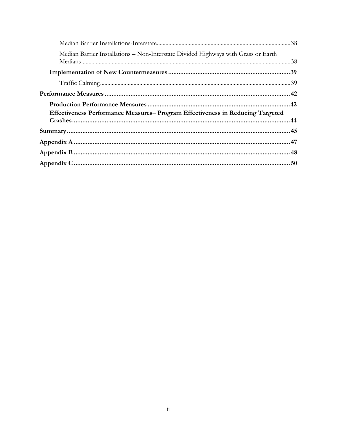| Median Barrier Installations - Non-Interstate Divided Highways with Grass or Earth |  |
|------------------------------------------------------------------------------------|--|
|                                                                                    |  |
|                                                                                    |  |
|                                                                                    |  |
|                                                                                    |  |
| Effectiveness Performance Measures-Program Effectiveness in Reducing Targeted      |  |
|                                                                                    |  |
|                                                                                    |  |
|                                                                                    |  |
|                                                                                    |  |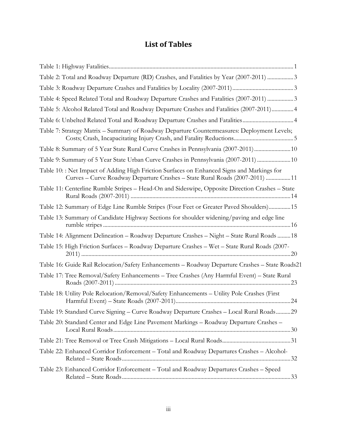# **List of Tables**

| Table 2: Total and Roadway Departure (RD) Crashes, and Fatalities by Year (2007-2011) 3                                                                                   |  |
|---------------------------------------------------------------------------------------------------------------------------------------------------------------------------|--|
|                                                                                                                                                                           |  |
| Table 4: Speed Related Total and Roadway Departure Crashes and Fatalities (2007-2011) 3                                                                                   |  |
| Table 5: Alcohol Related Total and Roadway Departure Crashes and Fatalities (2007-2011) 4                                                                                 |  |
| Table 6: Unbelted Related Total and Roadway Departure Crashes and Fatalities4                                                                                             |  |
| Table 7: Strategy Matrix – Summary of Roadway Departure Countermeasures: Deployment Levels;                                                                               |  |
| Table 8: Summary of 5 Year State Rural Curve Crashes in Pennsylvania (2007-2011)  10                                                                                      |  |
| Table 9: Summary of 5 Year State Urban Curve Crashes in Pennsylvania (2007-2011)  10                                                                                      |  |
| Table 10:: Net Impact of Adding High Friction Surfaces on Enhanced Signs and Markings for<br>Curves - Curve Roadway Departure Crashes - State Rural Roads (2007-2011)  11 |  |
| Table 11: Centerline Rumble Stripes - Head-On and Sideswipe, Opposite Direction Crashes - State                                                                           |  |
| Table 12: Summary of Edge Line Rumble Stripes (Four Feet or Greater Paved Shoulders) 15                                                                                   |  |
| Table 13: Summary of Candidate Highway Sections for shoulder widening/paving and edge line                                                                                |  |
| Table 14: Alignment Delineation - Roadway Departure Crashes - Night - State Rural Roads  18                                                                               |  |
| Table 15: High Friction Surfaces - Roadway Departure Crashes - Wet - State Rural Roads (2007-                                                                             |  |
| Table 16: Guide Rail Relocation/Safety Enhancements - Roadway Departure Crashes - State Roads21                                                                           |  |
| Table 17: Tree Removal/Safety Enhancements - Tree Crashes (Any Harmful Event) - State Rural                                                                               |  |
| Table 18: Utility Pole Relocation/Removal/Safety Enhancements - Utility Pole Crashes (First                                                                               |  |
| Table 19: Standard Curve Signing - Curve Roadway Departure Crashes - Local Rural Roads 29                                                                                 |  |
| Table 20: Standard Center and Edge Line Pavement Markings – Roadway Departure Crashes –                                                                                   |  |
|                                                                                                                                                                           |  |
| Table 22: Enhanced Corridor Enforcement - Total and Roadway Departures Crashes - Alcohol-                                                                                 |  |
| Table 23: Enhanced Corridor Enforcement - Total and Roadway Departures Crashes - Speed                                                                                    |  |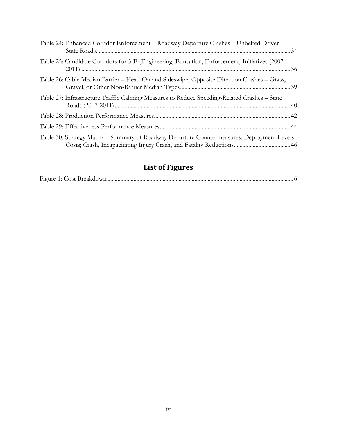| Table 24: Enhanced Corridor Enforcement - Roadway Departure Crashes - Unbelted Driver -        |
|------------------------------------------------------------------------------------------------|
| Table 25: Candidate Corridors for 3-E (Engineering, Education, Enforcement) Initiatives (2007- |
| Table 26: Cable Median Barrier – Head-On and Sideswipe, Opposite Direction Crashes – Grass,    |
| Table 27: Infrastructure Traffic Calming Measures to Reduce Speeding-Related Crashes – State   |
|                                                                                                |
|                                                                                                |
| Table 30: Strategy Matrix - Summary of Roadway Departure Countermeasures: Deployment Levels;   |

# **List of Figures**

|--|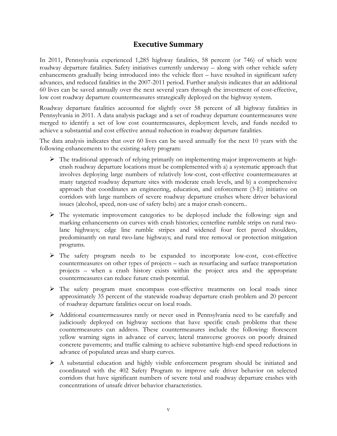# **Executive Summary**

<span id="page-5-0"></span>In 2011, Pennsylvania experienced 1,285 highway fatalities, 58 percent (or 746) of which were roadway departure fatalities. Safety initiatives currently underway – along with other vehicle safety enhancements gradually being introduced into the vehicle fleet – have resulted in significant safety advances, and reduced fatalities in the 2007-2011 period. Further analysis indicates that an additional 60 lives can be saved annually over the next several years through the investment of cost-effective, low cost roadway departure countermeasures strategically deployed on the highway system.

Roadway departure fatalities accounted for slightly over 58 percent of all highway fatalities in Pennsylvania in 2011. A data analysis package and a set of roadway departure countermeasures were merged to identify a set of low cost countermeasures, deployment levels, and funds needed to achieve a substantial and cost effective annual reduction in roadway departure fatalities.

The data analysis indicates that over 60 lives can be saved annually for the next 10 years with the following enhancements to the existing safety program:

- $\triangleright$  The traditional approach of relying primarily on implementing major improvements at highcrash roadway departure locations must be complemented with a) a systematic approach that involves deploying large numbers of relatively low-cost, cost-effective countermeasures at many targeted roadway departure sites with moderate crash levels, and b) a comprehensive approach that coordinates an engineering, education, and enforcement (3-E) initiative on corridors with large numbers of severe roadway departure crashes where driver behavioral issues (alcohol, speed, non-use of safety belts) are a major crash concern..
- The systematic improvement categories to be deployed include the following: sign and marking enhancements on curves with crash histories; centerline rumble strips on rural twolane highways; edge line rumble stripes and widened four feet paved shoulders, predominantly on rural two-lane highways; and rural tree removal or protection mitigation programs.
- The safety program needs to be expanded to incorporate low-cost, cost-effective countermeasures on other types of projects – such as resurfacing and surface transportation projects – when a crash history exists within the project area and the appropriate countermeasures can reduce future crash potential.
- $\triangleright$  The safety program must encompass cost-effective treatments on local roads since approximately 35 percent of the statewide roadway departure crash problem and 20 percent of roadway departure fatalities occur on local roads.
- Additional countermeasures rarely or never used in Pennsylvania need to be carefully and judiciously deployed on highway sections that have specific crash problems that these countermeasures can address. These countermeasures include the following: florescent yellow warning signs in advance of curves; lateral transverse grooves on poorly drained concrete pavements; and traffic calming to achieve substantive high-end speed reductions in advance of populated areas and sharp curves.
- A substantial education and highly visible enforcement program should be initiated and coordinated with the 402 Safety Program to improve safe driver behavior on selected corridors that have significant numbers of severe total and roadway departure crashes with concentrations of unsafe driver behavior characteristics.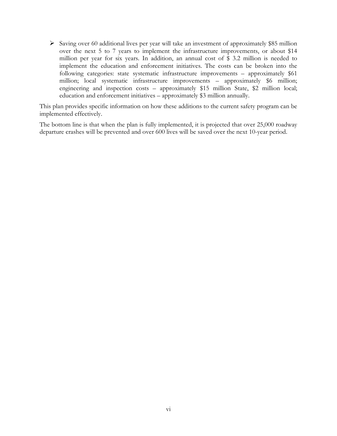$\triangleright$  Saving over 60 additional lives per year will take an investment of approximately \$85 million over the next 5 to 7 years to implement the infrastructure improvements, or about \$14 million per year for six years. In addition, an annual cost of \$ 3.2 million is needed to implement the education and enforcement initiatives. The costs can be broken into the following categories: state systematic infrastructure improvements – approximately \$61 million; local systematic infrastructure improvements – approximately \$6 million; engineering and inspection costs – approximately \$15 million State, \$2 million local; education and enforcement initiatives – approximately \$3 million annually.

This plan provides specific information on how these additions to the current safety program can be implemented effectively.

The bottom line is that when the plan is fully implemented, it is projected that over 25,000 roadway departure crashes will be prevented and over 600 lives will be saved over the next 10-year period.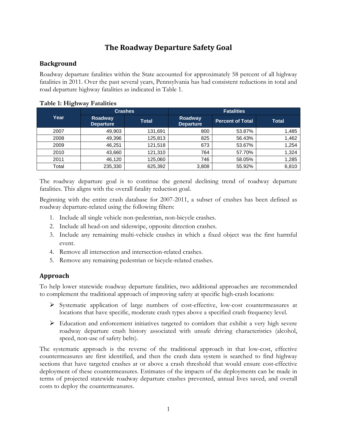# **The Roadway Departure Safety Goal**

## <span id="page-7-1"></span><span id="page-7-0"></span>**Background**

Roadway departure fatalities within the State accounted for approximately 58 percent of all highway fatalities in 2011. Over the past several years, Pennsylvania has had consistent reductions in total and road departure highway fatalities as indicated in Table 1.

| o     |                             |                |                             |                         |              |  |  |  |
|-------|-----------------------------|----------------|-----------------------------|-------------------------|--------------|--|--|--|
|       |                             | <b>Crashes</b> | <b>Fatalities</b>           |                         |              |  |  |  |
| Year  | Roadway<br><b>Departure</b> | <b>Total</b>   | Roadway<br><b>Departure</b> | <b>Percent of Total</b> | <b>Total</b> |  |  |  |
| 2007  | 49,903                      | 131,691        | 800                         | 53.87%                  | 1,485        |  |  |  |
| 2008  | 49,396                      | 125,813        | 825                         | 56.43%                  | 1,462        |  |  |  |
| 2009  | 46,251                      | 121.518        | 673                         | 53.67%                  | 1,254        |  |  |  |
| 2010  | 43,660                      | 121,310        | 764                         | 57.70%                  | 1,324        |  |  |  |
| 2011  | 46,120                      | 125,060        | 746                         | 58.05%                  | 1,285        |  |  |  |
| Total | 235,330                     | 625,392        | 3,808                       | 55.92%                  | 6,810        |  |  |  |

#### <span id="page-7-3"></span>**Table 1: Highway Fatalities**

The roadway departure goal is to continue the general declining trend of roadway departure fatalities. This aligns with the overall fatality reduction goal.

Beginning with the entire crash database for 2007-2011, a subset of crashes has been defined as roadway departure-related using the following filters:

- 1. Include all single vehicle non-pedestrian, non-bicycle crashes.
- 2. Include all head-on and sideswipe, opposite direction crashes.
- 3. Include any remaining multi-vehicle crashes in which a fixed object was the first harmful event.
- 4. Remove all intersection and intersection-related crashes.
- 5. Remove any remaining pedestrian or bicycle-related crashes.

# <span id="page-7-2"></span>**Approach**

To help lower statewide roadway departure fatalities, two additional approaches are recommended to complement the traditional approach of improving safety at specific high-crash locations:

- $\triangleright$  Systematic application of large numbers of cost-effective, low-cost countermeasures at locations that have specific, moderate crash types above a specified crash frequency level.
- $\triangleright$  Education and enforcement initiatives targeted to corridors that exhibit a very high severe roadway departure crash history associated with unsafe driving characteristics (alcohol, speed, non-use of safety belts).

The systematic approach is the reverse of the traditional approach in that low-cost, effective countermeasures are first identified, and then the crash data system is searched to find highway sections that have targeted crashes at or above a crash threshold that would ensure cost-effective deployment of these countermeasures. Estimates of the impacts of the deployments can be made in terms of projected statewide roadway departure crashes prevented, annual lives saved, and overall costs to deploy the countermeasures.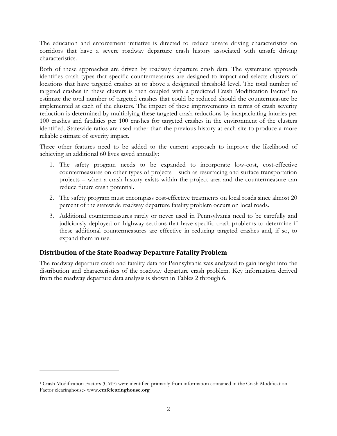The education and enforcement initiative is directed to reduce unsafe driving characteristics on corridors that have a severe roadway departure crash history associated with unsafe driving characteristics.

Both of these approaches are driven by roadway departure crash data. The systematic approach identifies crash types that specific countermeasures are designed to impact and selects clusters of locations that have targeted crashes at or above a designated threshold level. The total number of targeted crashes in these clusters is then coupled with a predicted Crash Modification Factor<sup>1</sup> to estimate the total number of targeted crashes that could be reduced should the countermeasure be implemented at each of the clusters. The impact of these improvements in terms of crash severity reduction is determined by multiplying these targeted crash reductions by incapacitating injuries per 100 crashes and fatalities per 100 crashes for targeted crashes in the environment of the clusters identified. Statewide ratios are used rather than the previous history at each site to produce a more reliable estimate of severity impact.

Three other features need to be added to the current approach to improve the likelihood of achieving an additional 60 lives saved annually:

- 1. The safety program needs to be expanded to incorporate low-cost, cost-effective countermeasures on other types of projects – such as resurfacing and surface transportation projects – when a crash history exists within the project area and the countermeasure can reduce future crash potential.
- 2. The safety program must encompass cost-effective treatments on local roads since almost 20 percent of the statewide roadway departure fatality problem occurs on local roads.
- 3. Additional countermeasures rarely or never used in Pennsylvania need to be carefully and judiciously deployed on highway sections that have specific crash problems to determine if these additional countermeasures are effective in reducing targeted crashes and, if so, to expand them in use.

## <span id="page-8-0"></span>**Distribution of the State Roadway Departure Fatality Problem**

 $\overline{a}$ 

The roadway departure crash and fatality data for Pennsylvania was analyzed to gain insight into the distribution and characteristics of the roadway departure crash problem. Key information derived from the roadway departure data analysis is shown in Tables 2 through 6.

<span id="page-8-1"></span><sup>1</sup> Crash Modification Factors (CMF) were identified primarily from information contained in the Crash Modification Factor clearinghouse- www.**cmfclearinghouse.org**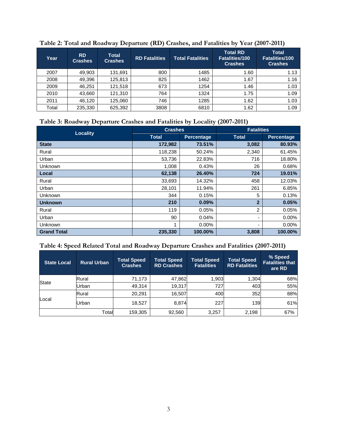| Year  | <b>RD</b><br><b>Crashes</b> | <b>Total</b><br><b>Crashes</b> | <b>RD Fatalities</b> | <b>Total Fatalities</b> | <b>Total RD</b><br><b>Fatalities/100</b><br><b>Crashes</b> | <b>Total</b><br><b>Fatalities/100</b><br><b>Crashes</b> |
|-------|-----------------------------|--------------------------------|----------------------|-------------------------|------------------------------------------------------------|---------------------------------------------------------|
| 2007  | 49.903                      | 131,691                        | 800                  | 1485                    | 1.60                                                       | 1.13                                                    |
| 2008  | 49,396                      | 125,813                        | 825                  | 1462                    | 1.67                                                       | 1.16                                                    |
| 2009  | 46.251                      | 121,518                        | 673                  | 1254                    | 1.46                                                       | 1.03                                                    |
| 2010  | 43,660                      | 121,310                        | 764                  | 1324                    | 1.75                                                       | 1.09                                                    |
| 2011  | 46.120                      | 125,060                        | 746                  | 1285                    | 1.62                                                       | 1.03                                                    |
| Total | 235,330                     | 625,392                        | 3808                 | 6810                    | 1.62                                                       | 1.09                                                    |

<span id="page-9-0"></span>**Table 2: Total and Roadway Departure (RD) Crashes, and Fatalities by Year (2007-2011)**

# <span id="page-9-1"></span>**Table 3: Roadway Departure Crashes and Fatalities by Locality (2007-2011)**

| <b>Locality</b>    | <b>Crashes</b> |                   | <b>Fatalities</b> |                   |  |
|--------------------|----------------|-------------------|-------------------|-------------------|--|
|                    | <b>Total</b>   | <b>Percentage</b> | <b>Total</b>      | <b>Percentage</b> |  |
| <b>State</b>       | 172,982        | 73.51%            | 3,082             | 80.93%            |  |
| Rural              | 118,238        | 50.24%            | 2,340             | 61.45%            |  |
| Urban              | 53,736         | 22.83%            | 716               | 18.80%            |  |
| Unknown            | 1,008          | 0.43%             | 26                | 0.68%             |  |
| Local              | 62,138         | 26.40%            | 724               | 19.01%            |  |
| Rural              | 33,693         | 14.32%            | 458               | 12.03%            |  |
| Urban              | 28,101         | 11.94%            | 261               | 6.85%             |  |
| <b>Unknown</b>     | 344            | 0.15%             | 5                 | 0.13%             |  |
| <b>Unknown</b>     | 210            | 0.09%             | $\overline{2}$    | 0.05%             |  |
| Rural              | 119            | 0.05%             | $\overline{2}$    | 0.05%             |  |
| Urban              | 90             | 0.04%             |                   | 0.00%             |  |
| Unknown            | 1              | $0.00\%$          |                   | 0.00%             |  |
| <b>Grand Total</b> | 235,330        | 100.00%           | 3,808             | 100.00%           |  |

# <span id="page-9-2"></span>**Table 4: Speed Related Total and Roadway Departure Crashes and Fatalities (2007-2011)**

| <b>Rural Urban</b><br><b>State Local</b> |       | <b>Total Speed</b><br><b>Crashes</b> | <b>Total Speed</b><br><b>RD Crashes</b> | <b>Total Speed</b><br><b>Fatalities</b> | <b>Total Speed</b><br><b>RD Fatalities</b> | % Speed<br><b>Fatalities that</b><br>are RD |
|------------------------------------------|-------|--------------------------------------|-----------------------------------------|-----------------------------------------|--------------------------------------------|---------------------------------------------|
| <b>State</b>                             | Rural | 71,173                               | 47,862                                  | 1,903                                   | 1,304                                      | 68%                                         |
|                                          | Urban | 49.314                               | 19,317                                  | 727                                     | 403                                        | 55%                                         |
|                                          | Rural | 20.291                               | 16,507                                  | 400                                     | 352                                        | 88%                                         |
| Local                                    | Urban | 18,527                               | 8.874                                   | 227                                     | 139                                        | 61%                                         |
|                                          | Total | 159,305                              | 92,560                                  | 3,257                                   | 2,198                                      | 67%                                         |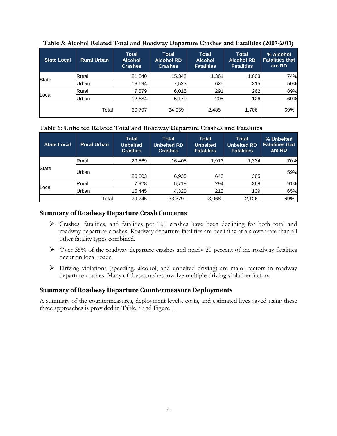| <b>State Local</b> | <b>Rural Urban</b> | <b>Total</b><br><b>Alcohol</b><br><b>Crashes</b> | <b>Total</b><br><b>Alcohol RD</b><br><b>Crashes</b> | <b>Total</b><br><b>Alcohol</b><br><b>Fatalities</b> | <b>Total</b><br><b>Alcohol RD</b><br><b>Fatalities</b> | % Alcohol<br><b>Fatalities that</b><br>are RD |
|--------------------|--------------------|--------------------------------------------------|-----------------------------------------------------|-----------------------------------------------------|--------------------------------------------------------|-----------------------------------------------|
|                    | Rural              | 21,840                                           | 15,342                                              | 1,361                                               | 1,003                                                  | 74%                                           |
| <b>State</b>       | Urban              | 18,694                                           | 7,523                                               | 625                                                 | 315                                                    | 50%                                           |
|                    | Rural              | 7,579                                            | 6,015                                               | 291                                                 | 262                                                    | 89%                                           |
| Local              | Urban              | 12,684                                           | 5,179                                               | 208                                                 | 126                                                    | 60%                                           |
|                    | Total              | 60,797                                           | 34,059                                              | 2,485                                               | 1,706                                                  | 69%                                           |

#### <span id="page-10-2"></span>**Table 5: Alcohol Related Total and Roadway Departure Crashes and Fatalities (2007-2011)**

#### <span id="page-10-3"></span>**Table 6: Unbelted Related Total and Roadway Departure Crashes and Fatalities**

| <b>Rural Urban</b><br><b>State Local</b> |       | <b>Total</b><br><b>Unbelted</b><br><b>Crashes</b> | <b>Total</b><br><b>Unbelted RD</b><br><b>Crashes</b> | <b>Total</b><br><b>Unbelted</b><br><b>Fatalities</b> | <b>Total</b><br><b>Unbelted RD</b><br><b>Fatalities</b> | % Unbelted<br><b>Fatalities that</b><br>are RD |
|------------------------------------------|-------|---------------------------------------------------|------------------------------------------------------|------------------------------------------------------|---------------------------------------------------------|------------------------------------------------|
| <b>State</b>                             | Rural | 29.569                                            | 16,405                                               | 1.913                                                | 1,334                                                   | 70%                                            |
|                                          | Urban | 26,803                                            | 6,935                                                | 648                                                  | 385                                                     | 59%                                            |
| Local                                    | Rural | 7.928                                             | 5,719                                                | 294                                                  | 268                                                     | 91%                                            |
|                                          | Urban | 15.445                                            | 4,320                                                | 213                                                  | 139                                                     | 65%                                            |
|                                          | Total | 79,745                                            | 33,379                                               | 3,068                                                | 2,126                                                   | 69%                                            |

## <span id="page-10-0"></span>**Summary of Roadway Departure Crash Concerns**

- Crashes, fatalities, and fatalities per 100 crashes have been declining for both total and roadway departure crashes. Roadway departure fatalities are declining at a slower rate than all other fatality types combined.
- $\triangleright$  Over 35% of the roadway departure crashes and nearly 20 percent of the roadway fatalities occur on local roads.
- Driving violations (speeding, alcohol, and unbelted driving) are major factors in roadway departure crashes. Many of these crashes involve multiple driving violation factors.

#### <span id="page-10-1"></span>**Summary of Roadway Departure Countermeasure Deployments**

A summary of the countermeasures, deployment levels, costs, and estimated lives saved using these three approaches is provided in Table 7 and Figure 1.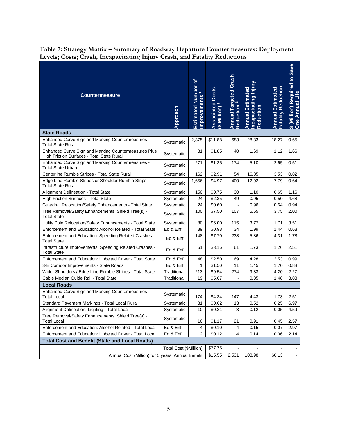| <b>Countermeasure</b>                                                                              | Approach               | <b>Estimated Number of</b><br>mprovements | Associated Costs<br>(\$ Million) <sup>2</sup> | Annual Targeted Crash<br>Reduction <sup>3</sup> | Incapacitating Injury<br><b>Annual Estimated</b><br><b>Reduction</b> | <b>Fatality Reduction</b><br><b>Annual Estimated</b> | \$ (Million) Required to Save<br>One Annual Life |
|----------------------------------------------------------------------------------------------------|------------------------|-------------------------------------------|-----------------------------------------------|-------------------------------------------------|----------------------------------------------------------------------|------------------------------------------------------|--------------------------------------------------|
| <b>State Roads</b>                                                                                 |                        |                                           |                                               |                                                 |                                                                      |                                                      |                                                  |
| Enhanced Curve Sign and Marking Countermeasures -<br>Total State Rural                             | Systematic             | 2,375                                     | \$11.88                                       | 683                                             | 28.83                                                                | 18.27                                                | 0.65                                             |
| Enhanced Curve Sign and Marking Countermeasures Plus<br>High Friction Surfaces - Total State Rural | Systematic             | 31                                        | \$1.85                                        | 40                                              | 1.69                                                                 | 1.12                                                 | 1.66                                             |
| Enhanced Curve Sign and Marking Countermeasures -<br><b>Total State Urban</b>                      | Systematic             | 271                                       | \$1.35                                        | 174                                             | 5.10                                                                 | 2.65                                                 | 0.51                                             |
| Centerline Rumble Stripes - Total State Rural                                                      | Systematic             | 162                                       | \$2.91                                        | 54                                              | 16.85                                                                | 3.53                                                 | 0.82                                             |
| Edge Line Rumble Stripes or Shoulder Rumble Strips -<br><b>Total State Rural</b>                   | Systematic             | 1,656                                     | \$4.97                                        | 400                                             | 12.92                                                                | 7.79                                                 | 0.64                                             |
| Alignment Delineation - Total State                                                                | Systematic             | 150                                       | \$0.75                                        | 30                                              | 1.10                                                                 | 0.65                                                 | 1.16                                             |
| High Friction Surfaces - Total State                                                               | Systematic             | 24                                        | \$2.35                                        | 49                                              | 0.95                                                                 | 0.50                                                 | 4.68                                             |
| Guardrail Relocation/Safety Enhancements - Total State                                             | Systematic             | 24                                        | \$0.60                                        |                                                 | 0.96                                                                 | 0.64                                                 | 0.94                                             |
| Tree Removal/Safety Enhancements, Shield Tree(s) -<br><b>Total State</b>                           | Systematic             | 100                                       | \$7.50                                        | 107                                             | 5.55                                                                 | 3.75                                                 | 2.00                                             |
| Utility Pole Relocation/Safety Enhancements - Total State                                          | Systematic             | 80                                        | \$6.00                                        | 115                                             | 3.77                                                                 | 1.71                                                 | 3.51                                             |
| Enforcement and Education: Alcohol Related - Total State                                           | Ed & Enf               | 39                                        | \$0.98                                        | 34                                              | 1.99                                                                 | 1.44                                                 | 0.68                                             |
| Enforcement and Education: Speeding Related Crashes -<br><b>Total State</b>                        | Ed & Enf               | 148                                       | \$7.70                                        | 238                                             | 5.86                                                                 | 4.31                                                 | 1.78                                             |
| Infrastructure Improvements: Speeding Related Crashes -<br><b>Total State</b>                      | Ed & Enf               | 61                                        | \$3.16                                        | 61                                              | 1.73                                                                 | 1.26                                                 | 2.51                                             |
| Enforcement and Education: Unbelted Driver - Total State                                           | Ed & Enf               | 48                                        | \$2.50                                        | 69                                              | 4.28                                                                 | 2.53                                                 | 0.99                                             |
| 3-E Corridor Improvements - State Roads                                                            | Ed & Enf               | 1                                         | \$1.50                                        | 11                                              | 1.45                                                                 | 1.70                                                 | 0.88                                             |
| Wider Shoulders / Edge Line Rumble Stripes - Total State                                           | Traditional            | 213                                       | \$9.54                                        | 274                                             | 9.33                                                                 | 4.20                                                 | 2.27                                             |
| Cable Median Guide Rail - Total State                                                              | Traditional            | 19                                        | \$5.67                                        |                                                 | 0.35                                                                 | 1.48                                                 | 3.83                                             |
| <b>Local Roads</b>                                                                                 |                        |                                           |                                               |                                                 |                                                                      |                                                      |                                                  |
| Enhanced Curve Sign and Marking Countermeasures -<br><b>Total Local</b>                            | Systematic             | 174                                       | \$4.34                                        | 147                                             | 4.43                                                                 | 1.73                                                 | 2.51                                             |
| Standard Pavement Markings - Total Local Rural                                                     | Systematic             | 31                                        | \$0.62                                        | 13                                              | 0.52                                                                 | 0.25                                                 | 6.97                                             |
| Alignment Delineation, Lighting - Total Local                                                      | Systematic             | 10                                        | \$0.21                                        | 3                                               | 0.12                                                                 | 0.05                                                 | 4.59                                             |
| Tree Removal/Safety Enhancements, Shield Tree(s) -<br><b>Total Local</b>                           | Systematic             | 16                                        | \$1.17                                        | 21                                              | 0.91                                                                 | 0.45                                                 | 2.57                                             |
| Enforcement and Education: Alcohol Related - Total Local                                           | Ed & Enf               | 4                                         | \$0.10                                        | 4                                               | 0.15                                                                 | 0.07                                                 | 2.97                                             |
| Enforcement and Education: Unbelted Driver - Total Local                                           | Ed & Enf               | $\boldsymbol{2}$                          | \$0.12                                        | 4                                               | 0.14                                                                 | 0.06                                                 | 2.14                                             |
| <b>Total Cost and Benefit (State and Local Roads)</b>                                              |                        |                                           |                                               |                                                 |                                                                      |                                                      |                                                  |
|                                                                                                    | Total Cost (\$Million) |                                           | \$77.75                                       |                                                 |                                                                      |                                                      |                                                  |
| Annual Cost (Million) for 5 years; Annual Benefit                                                  | \$15.55                | 2,531                                     | 108.98                                        | 60.13                                           | $\blacksquare$                                                       |                                                      |                                                  |

## <span id="page-11-0"></span>**Table 7: Strategy Matrix – Summary of Roadway Departure Countermeasures: Deployment Levels; Costs; Crash, Incapacitating Injury Crash, and Fatality Reductions**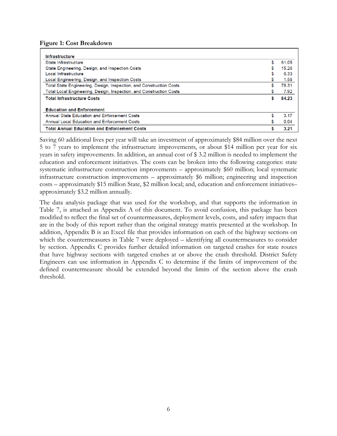<span id="page-12-0"></span>**Figure 1: Cost Breakdown**

| Infrastructure                                                      |    |       |
|---------------------------------------------------------------------|----|-------|
| State Infrastructure                                                | \$ | 61.05 |
| State Engineering, Design, and Inspection Costs                     |    | 15.26 |
| Local Infrastructure                                                |    | 6.33  |
| Local Engineering, Design, and Inspection Costs                     |    | 1.58  |
| Total State Engineering, Design, Inspection, and Construction Costs | \$ | 76.31 |
| Total Local Engineering, Design, Inspection, and Construction Costs |    | 7.92  |
| <b>Total Infrastructure Costs</b>                                   | S  | 84.23 |
| <b>Education and Enforcement</b>                                    |    |       |
| Annual State Education and Enforcement Costs                        |    | 3.17  |
| <b>Annual Local Education and Enforcement Costs</b>                 |    | 0.04  |
| <b>Total Annual Education and Enforcement Costs</b>                 | S  | 3.21  |

Saving 60 additional lives per year will take an investment of approximately \$84 million over the next 5 to 7 years to implement the infrastructure improvements, or about \$14 million per year for six years in safety improvements. In addition, an annual cost of \$ 3.2 million is needed to implement the education and enforcement initiatives. The costs can be broken into the following categories: state systematic infrastructure construction improvements – approximately \$60 million; local systematic infrastructure construction improvements – approximately \$6 million; engineering and inspection costs – approximately \$15 million State, \$2 million local; and, education and enforcement initiatives– approximately \$3.2 million annually.

The data analysis package that was used for the workshop, and that supports the information in Table 7, is attached as Appendix A of this document. To avoid confusion, this package has been modified to reflect the final set of countermeasures, deployment levels, costs, and safety impacts that are in the body of this report rather than the original strategy matrix presented at the workshop. In addition, Appendix B is an Excel file that provides information on each of the highway sections on which the countermeasures in Table 7 were deployed – identifying all countermeasures to consider by section. Appendix C provides further detailed information on targeted crashes for state routes that have highway sections with targeted crashes at or above the crash threshold. District Safety Engineers can use information in Appendix C to determine if the limits of improvement of the defined countermeasure should be extended beyond the limits of the section above the crash threshold.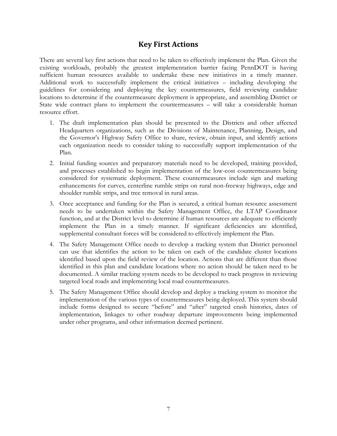# **Key First Actions**

<span id="page-13-0"></span>There are several key first actions that need to be taken to effectively implement the Plan. Given the existing workloads, probably the greatest implementation barrier facing PennDOT is having sufficient human resources available to undertake these new initiatives in a timely manner. Additional work to successfully implement the critical initiatives – including developing the guidelines for considering and deploying the key countermeasures, field reviewing candidate locations to determine if the countermeasure deployment is appropriate, and assembling District or State wide contract plans to implement the countermeasures – will take a considerable human resource effort.

- 1. The draft implementation plan should be presented to the Districts and other affected Headquarters organizations, such as the Divisions of Maintenance, Planning, Design, and the Governor's Highway Safety Office to share, review, obtain input, and identify actions each organization needs to consider taking to successfully support implementation of the Plan.
- 2. Initial funding sources and preparatory materials need to be developed, training provided, and processes established to begin implementation of the low-cost countermeasures being considered for systematic deployment. These countermeasures include sign and marking enhancements for curves, centerline rumble strips on rural non-freeway highways, edge and shoulder rumble strips, and tree removal in rural areas.
- 3. Once acceptance and funding for the Plan is secured, a critical human resource assessment needs to be undertaken within the Safety Management Office, the LTAP Coordinator function, and at the District level to determine if human resources are adequate to efficiently implement the Plan in a timely manner. If significant deficiencies are identified, supplemental consultant forces will be considered to effectively implement the Plan.
- 4. The Safety Management Office needs to develop a tracking system that District personnel can use that identifies the action to be taken on each of the candidate cluster locations identified based upon the field review of the location. Actions that are different than those identified in this plan and candidate locations where no action should be taken need to be documented. A similar tracking system needs to be developed to track progress in reviewing targeted local roads and implementing local road countermeasures.
- 5. The Safety Management Office should develop and deploy a tracking system to monitor the implementation of the various types of countermeasures being deployed. This system should include forms designed to secure "before" and "after" targeted crash histories, dates of implementation, linkages to other roadway departure improvements being implemented under other programs, and other information deemed pertinent.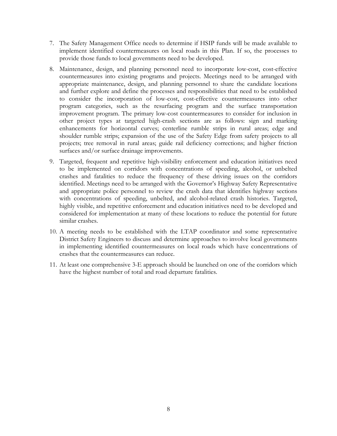- 7. The Safety Management Office needs to determine if HSIP funds will be made available to implement identified countermeasures on local roads in this Plan. If so, the processes to provide those funds to local governments need to be developed.
- 8. Maintenance, design, and planning personnel need to incorporate low-cost, cost-effective countermeasures into existing programs and projects. Meetings need to be arranged with appropriate maintenance, design, and planning personnel to share the candidate locations and further explore and define the processes and responsibilities that need to be established to consider the incorporation of low-cost, cost-effective countermeasures into other program categories, such as the resurfacing program and the surface transportation improvement program. The primary low-cost countermeasures to consider for inclusion in other project types at targeted high-crash sections are as follows: sign and marking enhancements for horizontal curves; centerline rumble strips in rural areas; edge and shoulder rumble strips; expansion of the use of the Safety Edge from safety projects to all projects; tree removal in rural areas; guide rail deficiency corrections; and higher friction surfaces and/or surface drainage improvements.
- 9. Targeted, frequent and repetitive high-visibility enforcement and education initiatives need to be implemented on corridors with concentrations of speeding, alcohol, or unbelted crashes and fatalities to reduce the frequency of these driving issues on the corridors identified. Meetings need to be arranged with the Governor's Highway Safety Representative and appropriate police personnel to review the crash data that identifies highway sections with concentrations of speeding, unbelted, and alcohol-related crash histories. Targeted, highly visible, and repetitive enforcement and education initiatives need to be developed and considered for implementation at many of these locations to reduce the potential for future similar crashes.
- 10. A meeting needs to be established with the LTAP coordinator and some representative District Safety Engineers to discuss and determine approaches to involve local governments in implementing identified countermeasures on local roads which have concentrations of crashes that the countermeasures can reduce.
- 11. At least one comprehensive 3-E approach should be launched on one of the corridors which have the highest number of total and road departure fatalities.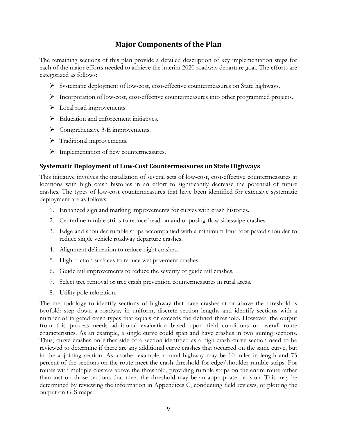# **Major Components of the Plan**

<span id="page-15-0"></span>The remaining sections of this plan provide a detailed description of key implementation steps for each of the major efforts needed to achieve the interim 2020 roadway departure goal. The efforts are categorized as follows:

- Systematic deployment of low-cost, cost-effective countermeasures on State highways.
- Incorporation of low-cost, cost-effective countermeasures into other programmed projects.
- $\triangleright$  Local road improvements.
- $\triangleright$  Education and enforcement initiatives.
- $\triangleright$  Comprehensive 3-E improvements.
- > Traditional improvements.
- > Implementation of new countermeasures.

## <span id="page-15-1"></span>**Systematic Deployment of Low-Cost Countermeasures on State Highways**

This initiative involves the installation of several sets of low-cost, cost-effective countermeasures at locations with high crash histories in an effort to significantly decrease the potential of future crashes. The types of low-cost countermeasures that have been identified for extensive systematic deployment are as follows:

- 1. Enhanced sign and marking improvements for curves with crash histories.
- 2. Centerline rumble strips to reduce head-on and opposing-flow sideswipe crashes.
- 3. Edge and shoulder rumble strips accompanied with a minimum four foot paved shoulder to reduce single vehicle roadway departure crashes.
- 4. Alignment delineation to reduce night crashes.
- 5. High friction surfaces to reduce wet pavement crashes.
- 6. Guide rail improvements to reduce the severity of guide rail crashes.
- 7. Select tree removal or tree crash prevention countermeasures in rural areas.
- 8. Utility pole relocation.

The methodology to identify sections of highway that have crashes at or above the threshold is twofold: step down a roadway in uniform, discrete section lengths and identify sections with a number of targeted crash types that equals or exceeds the defined threshold. However, the output from this process needs additional evaluation based upon field conditions or overall route characteristics. As an example, a single curve could span and have crashes in two joining sections. Thus, curve crashes on either side of a section identified as a high-crash curve section need to be reviewed to determine if there are any additional curve crashes that occurred on the same curve, but in the adjoining section. As another example, a rural highway may be 10 miles in length and 75 percent of the sections on the route meet the crash threshold for edge/shoulder rumble strips. For routes with multiple clusters above the threshold, providing rumble strips on the entire route rather than just on those sections that meet the threshold may be an appropriate decision. This may be determined by reviewing the information in Appendices C, conducting field reviews, or plotting the output on GIS maps.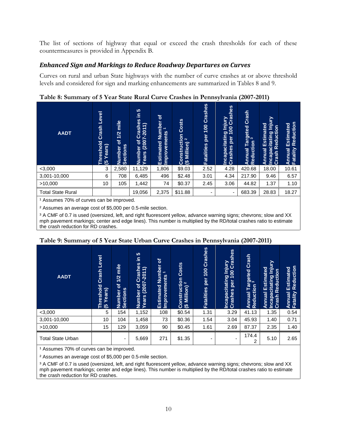The list of sections of highway that equal or exceed the crash thresholds for each of these countermeasures is provided in Appendix B.

# <span id="page-16-0"></span>*Enhanced Sign and Markings to Reduce Roadway Departures on Curves*

Curves on rural and urban State highways with the number of curve crashes at or above threshold levels and considered for sign and marking enhancements are summarized in Tables 8 and 9.

| <b>AADT</b>              | Level<br>Crash<br>reshold<br>$\widehat{\boldsymbol{\omega}}$<br>ā<br>ு | mile<br>1/2<br>৳<br><b>Sections</b><br>umber<br>z | <b>40</b><br>으.<br>S<br>Φ<br>$\overline{\mathbf{S}}$<br>$\overline{\phantom{0}}$<br>$-201$<br>ಸ<br>ပ<br>(2007)<br>৳<br>Number<br>Years (2 | চি<br>Number<br>$\overline{ }$<br>ents<br>Improvem<br>ated<br><b>Estima</b> | <b>Costs</b><br>$\frac{1}{2}$<br>Million)<br>قا<br>ট<br>ã<br>ర అ | Crashes<br>8<br>$\overline{\phantom{0}}$<br>per<br><b>Fatalities</b> | Injury<br>00 Crashes<br>100<br>Incapacitating<br>per<br>Crashes | Crash<br>Targeted<br>on <sup>3</sup><br>Reduction<br>Annual | 5<br><u>lujul</u><br>Estimated<br>$\overline{5}$<br><b>Incapacitating</b><br>Crash Reductic<br>Annual | Reduction<br>Estimated<br>Annual<br>Fatality |
|--------------------------|------------------------------------------------------------------------|---------------------------------------------------|-------------------------------------------------------------------------------------------------------------------------------------------|-----------------------------------------------------------------------------|------------------------------------------------------------------|----------------------------------------------------------------------|-----------------------------------------------------------------|-------------------------------------------------------------|-------------------------------------------------------------------------------------------------------|----------------------------------------------|
| $<$ 3,000                | 3                                                                      | 2,580                                             | 11,129                                                                                                                                    | 1,806                                                                       | \$9.03                                                           | 2.52                                                                 | 4.28                                                            | 420.68                                                      | 18.00                                                                                                 | 10.61                                        |
| 3,001-10,000             | 6                                                                      | 708                                               | 6,485                                                                                                                                     | 496                                                                         | \$2.48                                                           | 3.01                                                                 | 4.34                                                            | 217.90                                                      | 9.46                                                                                                  | 6.57                                         |
| >10,000                  | 10                                                                     | 105                                               | 1,442                                                                                                                                     | 74                                                                          | \$0.37                                                           | 2.45                                                                 | 3.06                                                            | 44.82                                                       | 1.37                                                                                                  | 1.10                                         |
| <b>Total State Rural</b> |                                                                        |                                                   | 19,056                                                                                                                                    | 2,375                                                                       | \$11.88                                                          | -                                                                    | $\overline{\phantom{0}}$                                        | 683.39                                                      | 28.83                                                                                                 | 18.27                                        |

<span id="page-16-1"></span>**Table 8: Summary of 5 Year State Rural Curve Crashes in Pennsylvania (2007-2011)**

<sup>1</sup> Assumes 70% of curves can be improved.

² Assumes an average cost of \$5,000 per 0.5-mile section.

<sup>3</sup> A CMF of 0.7 is used (oversized, left, and right fluorescent yellow, advance warning signs; chevrons; slow and XX mph pavement markings; center and edge lines). This number is multiplied by the RD/total crashes ratio to estimate the crash reduction for RD crashes.

| ↵<br><b>AADT</b>         | Level<br>Crash<br>Threshold<br>(5 Years) | mile<br>1/2<br>৳<br>Number<br>Sections | S<br>르<br>89<br>$\hat{=}$<br>Crash<br>$(2007 - 201)$<br>$\delta$<br>Number<br>Years (2 | $\mathbf{r}$<br>Number<br>$\overline{\phantom{0}}$<br>Improvements<br>Estimated | Costs<br>Construction<br>$\mathbf{N}$<br>(\$ Million) | Crashes<br>100<br>per<br><b>Fatalities</b> | ↵<br>J Injury<br>00 Crashes<br>$\overline{100}$<br>Incapacitating<br>per<br>Crashes | Crash<br>rargeted<br>งก <sup>3</sup><br><b>Annual Tar<br/>Reduction</b> | $\overline{\phantom{a}}$<br>Vinjury<br>Estimated<br>Incapacitating In<br>Crash Reduction<br>Annual<br>Crash | Reduction<br>Estimated<br>Annual I<br>Fatality |
|--------------------------|------------------------------------------|----------------------------------------|----------------------------------------------------------------------------------------|---------------------------------------------------------------------------------|-------------------------------------------------------|--------------------------------------------|-------------------------------------------------------------------------------------|-------------------------------------------------------------------------|-------------------------------------------------------------------------------------------------------------|------------------------------------------------|
| $<$ 3,000                | 5                                        | 154                                    | 1,152                                                                                  | 108                                                                             | \$0.54                                                | 1.31                                       | 3.29                                                                                | 41.13                                                                   | 1.35                                                                                                        | 0.54                                           |
| 3,001-10,000             | 10                                       | 104                                    | 1,458                                                                                  | 73                                                                              | \$0.36                                                | 1.54                                       | 3.04                                                                                | 45.93                                                                   | 1.40                                                                                                        | 0.71                                           |
| >10,000                  | 15                                       | 129                                    | 3,059                                                                                  | 90                                                                              | \$0.45                                                | 1.61                                       | 2.69                                                                                | 87.37                                                                   | 2.35                                                                                                        | 1.40                                           |
| <b>Total State Urban</b> |                                          | ٠                                      | 5,669                                                                                  | 271                                                                             | \$1.35                                                | $\blacksquare$                             |                                                                                     | 174.4<br>2                                                              | 5.10                                                                                                        | 2.65                                           |

## <span id="page-16-2"></span>**Table 9: Summary of 5 Year State Urban Curve Crashes in Pennsylvania (2007-2011)**

<sup>1</sup> Assumes 70% of curves can be improved.

² Assumes an average cost of \$5,000 per 0.5-mile section.

<sup>3</sup> A CMF of 0.7 is used (oversized, left, and right fluorescent yellow, advance warning signs; chevrons; slow and XX mph pavement markings; center and edge lines). This number is multiplied by the RD/total crashes ratio to estimate the crash reduction for RD crashes.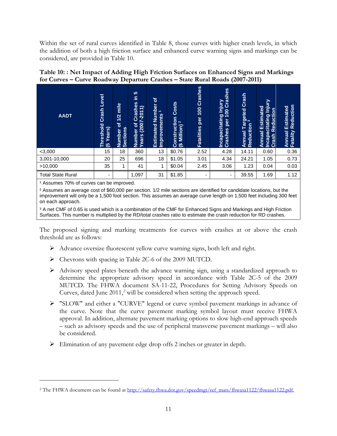Within the set of rural curves identified in Table 8, those curves with higher crash levels, in which the addition of both a high friction surface and enhanced curve warning signs and markings can be considered, are provided in Table 10.

<span id="page-17-0"></span>

| Table 10:: Net Impact of Adding High Friction Surfaces on Enhanced Signs and Markings |
|---------------------------------------------------------------------------------------|
| for Curves – Curve Roadway Departure Crashes – State Rural Roads (2007-2011)          |

| <b>AADT</b>              | <b>Level</b><br>Crash<br><b>Threshold</b><br>Years)<br>$\overline{3}$ | mile<br>1/2<br>$\mathbf{b}$<br><b>Sections</b><br><b>Number</b> | 5<br>Ξ<br>shes<br>$\overline{\phantom{0}}$<br>$\overline{\phantom{0}}$<br>$-20$<br>Cra<br>(200)<br><u>៦</u><br>Number<br>Years (2 | 'ত<br>Number<br>$\overline{\phantom{0}}$<br>Improvements<br>Estimated | Costs<br><b>Construction</b><br>(\$ Million) <sup>2</sup> | Crashes<br>100<br>per<br><b>Fatalities</b> | <b>j Injury<br/>00 Crashes</b><br>Incapacitating I<br>Crashes per 10<br>per | Crash<br>Targeted<br><b>Annual Tar</b><br>Reduction | Vinjury<br>Estimated<br>ႅ<br>Reducti<br>Incapacitating<br><b>Annual</b><br>Crash | Reduction<br>Estimated<br>Annual<br>Fatality |
|--------------------------|-----------------------------------------------------------------------|-----------------------------------------------------------------|-----------------------------------------------------------------------------------------------------------------------------------|-----------------------------------------------------------------------|-----------------------------------------------------------|--------------------------------------------|-----------------------------------------------------------------------------|-----------------------------------------------------|----------------------------------------------------------------------------------|----------------------------------------------|
| $<$ 3,000                | 15                                                                    | 18                                                              | 360                                                                                                                               | 13                                                                    | \$0.76                                                    | 2.52                                       | 4.28                                                                        | 14.11                                               | 0.60                                                                             | 0.36                                         |
| 3,001-10,000             | 20                                                                    | 25                                                              | 696                                                                                                                               | 18                                                                    | \$1.05                                                    | 3.01                                       | 4.34                                                                        | 24.21                                               | 1.05                                                                             | 0.73                                         |
| >10,000                  | 35                                                                    | 1                                                               | 41                                                                                                                                |                                                                       | \$0.04                                                    | 2.45                                       | 3.06                                                                        | 1.23                                                | 0.04                                                                             | 0.03                                         |
| <b>Total State Rural</b> | ٠                                                                     |                                                                 | 1,097                                                                                                                             | 31                                                                    | \$1.85                                                    | ۰                                          |                                                                             | 39.55                                               | 1.69                                                                             | 1.12                                         |

<sup>1</sup> Assumes 70% of curves can be improved.

 $\overline{a}$ 

² Assumes an average cost of \$60,000 per section. 1/2 mile sections are identified for candidate locations, but the improvement will only be a 1,500 foot section. This assumes an average curve length on 1,500 feet including 300 feet on each approach.

<sup>3</sup> A net CMF of 0.65 is used which is a combination of the CMF for Enhanced Signs and Markings and High Friction Surfaces. This number is multiplied by the RD/total crashes ratio to estimate the crash reduction for RD crashes.

The proposed signing and marking treatments for curves with crashes at or above the crash threshold are as follows:

- Advance oversize fluorescent yellow curve warning signs, both left and right.
- Chevrons with spacing in Table 2C-6 of the 2009 MUTCD.
- Advisory speed plates beneath the advance warning sign, using a standardized approach to determine the appropriate advisory speed in accordance with Table 2C-5 of the 2009 MUTCD. The FHWA document SA-11-22, Procedures for Setting Advisory Speeds on Curves, dated June 2011, *[2](#page-17-1)* will be considered when setting the approach speed.
- "SLOW" and either a "CURVE" legend or curve symbol pavement markings in advance of the curve. Note that the curve pavement marking symbol layout must receive FHWA approval. In addition, alternate pavement marking options to slow high-end approach speeds – such as advisory speeds and the use of peripheral transverse pavement markings – will also be considered.
- Elimination of any pavement edge drop offs 2 inches or greater in depth.

<span id="page-17-1"></span><sup>&</sup>lt;sup>2</sup> The FHWA document can be found at [http://safety.fhwa.dot.gov/speedmgt/ref\\_mats/fhwasa1122/fhwasa1122.pdf,](http://safety.fhwa.dot.gov/speedmgt/ref_mats/fhwasa1122/fhwasa1122.pdf)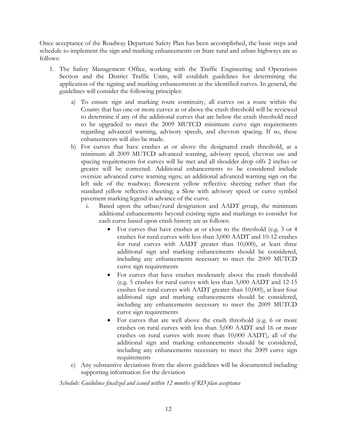Once acceptance of the Roadway Departure Safety Plan has been accomplished, the basic steps and schedule to implement the sign and marking enhancements on State rural and urban highways are as follows:

- 1. The Safety Management Office, working with the Traffic Engineering and Operations Section and the District Traffic Units, will establish guidelines for determining the application of the signing and marking enhancements at the identified curves. In general, the guidelines will consider the following principles:
	- a) To ensure sign and marking route continuity, all curves on a route within the County that has one or more curves at or above the crash threshold will be reviewed to determine if any of the additional curves that are below the crash threshold need to be upgraded to meet the 2009 MUTCD minimum curve sign requirements regarding advanced warning, advisory speeds, and chevron spacing. If so, these enhancements will also be made.
	- b) For curves that have crashes at or above the designated crash threshold, at a minimum all 2009 MUTCD advanced warning, advisory speed, chevron use and spacing requirements for curves will be met and all shoulder drop offs 2 inches or greater will be corrected. Additional enhancements to be considered include oversize advanced curve warning signs; an additional advanced warning sign on the left side of the roadway; florescent yellow reflective sheeting rather than the standard yellow reflective sheeting; a Slow with advisory speed or curve symbol pavement marking legend in advance of the curve.
		- i. Based upon the urban/rural designation and AADT group, the minimum additional enhancements beyond existing signs and markings to consider for each curve based upon crash history are as follows:
			- For curves that have crashes at or close to the threshold (e.g. 3 or 4 crashes for rural curves with less than 3,000 AADT and 10-12 crashes for rural curves with AADT greater than 10,000), at least three additional sign and marking enhancements should be considered, including any enhancements necessary to meet the 2009 MUTCD curve sign requirements
			- For curves that have crashes moderately above the crash threshold (e.g. 5 crashes for rural curves with less than 3,000 AADT and 12-15 crashes for rural curves with AADT greater than 10,000), at least four additional sign and marking enhancements should be considered, including any enhancements necessary to meet the 2009 MUTCD curve sign requirements
			- For curves that are well above the crash threshold (e.g. 6 or more crashes on rural curves with less than 3,000 AADT and 16 or more crashes on rural curves with more than 10,000 AADT), all of the additional sign and marking enhancements should be considered, including any enhancements necessary to meet the 2009 curve sign requirements
	- c) Any substantive deviations from the above guidelines will be documented including supporting information for the deviation

*Schedule: Guidelines finalized and issued within 12 months of RD plan acceptance*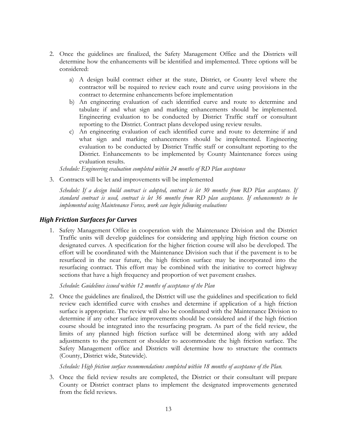- 2. Once the guidelines are finalized, the Safety Management Office and the Districts will determine how the enhancements will be identified and implemented. Three options will be considered:
	- a) A design build contract either at the state, District, or County level where the contractor will be required to review each route and curve using provisions in the contract to determine enhancements before implementation
	- b) An engineering evaluation of each identified curve and route to determine and tabulate if and what sign and marking enhancements should be implemented. Engineering evaluation to be conducted by District Traffic staff or consultant reporting to the District. Contract plans developed using review results.
	- c) An engineering evaluation of each identified curve and route to determine if and what sign and marking enhancements should be implemented. Engineering evaluation to be conducted by District Traffic staff or consultant reporting to the District. Enhancements to be implemented by County Maintenance forces using evaluation results.

*Schedule: Engineering evaluation completed within 24 months of RD Plan acceptance*

3. Contracts will be let and improvements will be implemented

*Schedule: If a design build contract is adopted, contract is let 30 months from RD Plan acceptance. If standard contract is used, contract is let 36 months from RD plan acceptance. If enhancements to be implemented using Maintenance Forces, work can begin following evaluations*

#### <span id="page-19-0"></span>*High Friction Surfaces for Curves*

1. Safety Management Office in cooperation with the Maintenance Division and the District Traffic units will develop guidelines for considering and applying high friction course on designated curves. A specification for the higher friction course will also be developed. The effort will be coordinated with the Maintenance Division such that if the pavement is to be resurfaced in the near future, the high friction surface may be incorporated into the resurfacing contract. This effort may be combined with the initiative to correct highway sections that have a high frequency and proportion of wet pavement crashes.

*Schedule*: *Guidelines issued* w*ithin 12 months of acceptance of the Plan*

2. Once the guidelines are finalized, the District will use the guidelines and specification to field review each identified curve with crashes and determine if application of a high friction surface is appropriate. The review will also be coordinated with the Maintenance Division to determine if any other surface improvements should be considered and if the high friction course should be integrated into the resurfacing program. As part of the field review, the limits of any planned high friction surface will be determined along with any added adjustments to the pavement or shoulder to accommodate the high friction surface. The Safety Management office and Districts will determine how to structure the contracts (County, District wide, Statewide).

*Schedule: High friction surface recommendations completed within 18 months of acceptance of the Plan.*

3. Once the field review results are completed, the District or their consultant will prepare County or District contract plans to implement the designated improvements generated from the field reviews.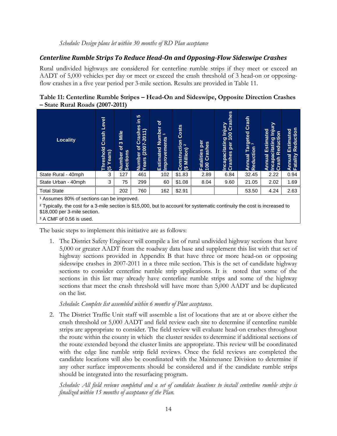#### <span id="page-20-0"></span>*Centerline Rumble Strips To Reduce Head-On and Opposing-Flow Sideswipe Crashes*

Rural undivided highways are considered for centerline rumble strips if they meet or exceed an AADT of 5,000 vehicles per day or meet or exceed the crash threshold of 3 head-on or opposingflow crashes in a five year period per 3-mile section. Results are provided in Table 11.

<span id="page-20-1"></span>

| Table 11: Centerline Rumble Stripes – Head-On and Sideswipe, Opposite Direction Crashes |  |  |  |
|-----------------------------------------------------------------------------------------|--|--|--|
| $-$ State Rural Roads (2007-2011)                                                       |  |  |  |

| <b>Locality</b>                                                                                                                                                                  | Level<br>Crash<br><b>Ireshold</b><br>Years)<br>಄ | Mile<br>က<br>৳<br>Number c<br>Sections | <b>5</b><br>을<br>es<br>$\overline{\phantom{0}}$<br><b>Crashe</b><br>er of Cras <mark>t</mark><br>(2007-201<br>Number<br>Years (2 | ৳<br><b>Number</b><br>$\overline{\phantom{0}}$<br><b>Vements</b><br>Estimated<br>Improv | Costs<br>Construction<br>(\$ Million) <sup>2</sup> | per<br>Fatalities per<br>100 Crashes | Incapacitating Injury<br>Crashes per 100 Crashes<br>per | Crash<br>argeted<br>งก <sup>3</sup><br>Reduction<br>Annual | Š<br>르<br>Estimated<br>Incapacitating In<br>Crash Reduction<br>Annual | Reduction<br>Estimated<br>Fatality<br>Annual |
|----------------------------------------------------------------------------------------------------------------------------------------------------------------------------------|--------------------------------------------------|----------------------------------------|----------------------------------------------------------------------------------------------------------------------------------|-----------------------------------------------------------------------------------------|----------------------------------------------------|--------------------------------------|---------------------------------------------------------|------------------------------------------------------------|-----------------------------------------------------------------------|----------------------------------------------|
| State Rural - 40mph                                                                                                                                                              | 3                                                | 127                                    | 461                                                                                                                              | 102                                                                                     | \$1.83                                             | 2.89                                 | 6.84                                                    | 32.45                                                      | 2.22                                                                  | 0.94                                         |
| State Urban - 40mph                                                                                                                                                              | 3                                                | 75                                     | 299                                                                                                                              | 60                                                                                      | \$1.08                                             | 8.04                                 | 9.60                                                    | 21.05                                                      | 2.02                                                                  | 1.69                                         |
| <b>Total State</b>                                                                                                                                                               |                                                  | 202                                    | 760                                                                                                                              | 162                                                                                     | \$2.91                                             |                                      |                                                         | 53.50                                                      | 4.24                                                                  | 2.63                                         |
| <sup>1</sup> Assumes 80% of sections can be improved.<br>2 Typically the cost for a 3-mile section is \$15,000 but to account for systematic continuity the cost is increased to |                                                  |                                        |                                                                                                                                  |                                                                                         |                                                    |                                      |                                                         |                                                            |                                                                       |                                              |

² Typically, the cost for a 3-mile section is \$15,000, but to account for systematic continuity the cost is increased to \$18,000 per 3-mile section.

<sup>3</sup> A CMF of 0.56 is used.

The basic steps to implement this initiative are as follows:

1. The District Safety Engineer will compile a list of rural undivided highway sections that have 5,000 or greater AADT from the roadway data base and supplement this list with that set of highway sections provided in Appendix B that have three or more head-on or opposing sideswipe crashes in 2007-2011 in a three mile section. This is the set of candidate highway sections to consider centerline rumble strip applications. It is noted that some of the sections in this list may already have centerline rumble strips and some of the highway sections that meet the crash threshold will have more than 5,000 AADT and be duplicated on the list.

*Schedule*: *Complete list assembled within 6 months of Plan acceptance.*

2. The District Traffic Unit staff will assemble a list of locations that are at or above either the crash threshold or 5,000 AADT and field review each site to determine if centerline rumble strips are appropriate to consider. The field review will evaluate head-on crashes throughout the route within the county in which the cluster resides to determine if additional sections of the route extended beyond the cluster limits are appropriate. This review will be coordinated with the edge line rumble strip field reviews. Once the field reviews are completed the candidate locations will also be coordinated with the Maintenance Division to determine if any other surface improvements should be considered and if the candidate rumble strips should be integrated into the resurfacing program.

*Schedule: All field reviews completed and a set of candidate locations to install centerline rumble strips is finalized within 15 months of acceptance of the Plan.*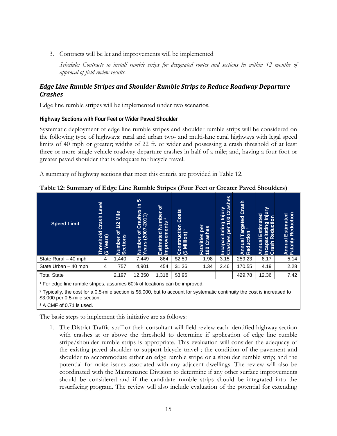3. Contracts will be let and improvements will be implemented

*Schedule: Contracts to install rumble strips for designated routes and sections let within 12 months of approval of field review results.*

### <span id="page-21-0"></span>*Edge Line Rumble Stripes and Shoulder Rumble Strips to Reduce Roadway Departure Crashes*

Edge line rumble stripes will be implemented under two scenarios.

#### **Highway Sections with Four Feet or Wider Paved Shoulder**

Systematic deployment of edge line rumble stripes and shoulder rumble strips will be considered on the following type of highways: rural and urban two- and multi-lane rural highways with legal speed limits of 40 mph or greater; widths of 22 ft. or wider and possessing a crash threshold of at least three or more single vehicle roadway departure crashes in half of a mile; and, having a four foot or greater paved shoulder that is adequate for bicycle travel.

A summary of highway sections that meet this criteria are provided in Table 12.

| <b>Speed Limit</b>   | <b>Level</b><br>Crash<br><b>Ireshold</b><br>ears)<br>ங | ~<br>Mile<br>1/2<br>$\overline{\sigma}$<br>Number c<br>Sections | 10<br>르<br>Crashes<br>$\Rightarrow$<br>$\overline{\phantom{0}}$<br>$\overline{5}$<br>er of (<br>(2007<br>Number<br>Years (2 | ঌ<br>Number<br>$\overline{ }$<br>ents<br>Improvem<br>Estimated | <b>Costs</b><br>Construction<br>$\sim$<br>Million)<br>$\bullet$ | per<br>Crashes<br><b>Fatalities</b><br>100 | jury<br>Crashes<br>g<br><b>Incapacitating Inj</b><br>Incapacitating Inj | Crash<br>Targeted<br>ion <sup>3</sup><br>Reduction<br>Annual | ⊵<br>iajai<br><b>Estimated</b><br>$\overline{\mathsf{s}}$<br>Incapacitating I<br>Crash Reductio<br>Annual<br>Crash | Reduction<br>Estimated<br>Fatality<br><b>Annual</b> |
|----------------------|--------------------------------------------------------|-----------------------------------------------------------------|-----------------------------------------------------------------------------------------------------------------------------|----------------------------------------------------------------|-----------------------------------------------------------------|--------------------------------------------|-------------------------------------------------------------------------|--------------------------------------------------------------|--------------------------------------------------------------------------------------------------------------------|-----------------------------------------------------|
| State Rural - 40 mph | 4                                                      | 1,440                                                           | 7,449                                                                                                                       | 864                                                            | \$2.59                                                          | 1.98                                       | 3.15                                                                    | 259.23                                                       | 8.17                                                                                                               | 5.14                                                |
| State Urban - 40 mph | 4                                                      | 757                                                             | 4,901                                                                                                                       | 454                                                            | \$1.36                                                          | 1.34                                       | 2.46                                                                    | 170.55                                                       | 4.19                                                                                                               | 2.28                                                |
| <b>Total State</b>   |                                                        | 2,197                                                           | 12,350                                                                                                                      | 1,318                                                          | \$3.95                                                          |                                            |                                                                         | 429.78                                                       | 12.36                                                                                                              | 7.42                                                |
|                      |                                                        |                                                                 |                                                                                                                             |                                                                |                                                                 |                                            |                                                                         |                                                              |                                                                                                                    |                                                     |

<span id="page-21-1"></span>**Table 12: Summary of Edge Line Rumble Stripes (Four Feet or Greater Paved Shoulders)**

<sup>1</sup> For edge line rumble stripes, assumes 60% of locations can be improved.

² Typically, the cost for a 0.5-mile section is \$5,000, but to account for systematic continuity the cost is increased to \$3,000 per 0.5-mile section.

<sup>3</sup> A CMF of 0.71 is used.

The basic steps to implement this initiative are as follows:

1. The District Traffic staff or their consultant will field review each identified highway section with crashes at or above the threshold to determine if application of edge line rumble stripe/shoulder rumble strips is appropriate. This evaluation will consider the adequacy of the existing paved shoulder to support bicycle travel ; the condition of the pavement and shoulder to accommodate either an edge rumble stripe or a shoulder rumble strip; and the potential for noise issues associated with any adjacent dwellings. The review will also be coordinated with the Maintenance Division to determine if any other surface improvements should be considered and if the candidate rumble strips should be integrated into the resurfacing program. The review will also include evaluation of the potential for extending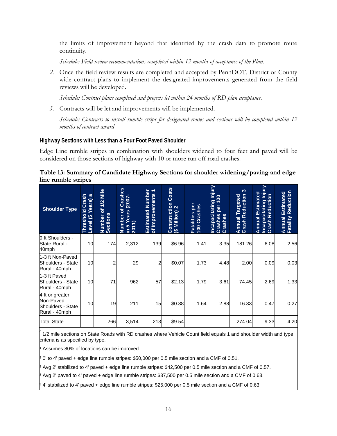the limits of improvement beyond that identified by the crash data to promote route continuity.

*Schedule: Field review recommendations completed within 12 months of acceptance of the Plan.*

*2.* Once the field review results are completed and accepted by PennDOT, District or County wide contract plans to implement the designated improvements generated from the field reviews will be developed.

*Schedule: Contract plans completed and projects let within 24 months of RD plan acceptance.*

*3.* Contracts will be let and improvements will be implemented.

*Schedule: Contracts to install rumble strips for designated routes and sections will be completed within 12 months of contract award*

#### **Highway Sections with Less than a Four Foot Paved Shoulder**

Edge Line rumble stripes in combination with shoulders widened to four feet and paved will be considered on those sections of highway with 10 or more run off road crashes.

#### <span id="page-22-0"></span>**Table 13: Summary of Candidate Highway Sections for shoulder widening/paving and edge line rumble stripes**

| <b>Shoulder Type</b>                                               | <b>Crash</b><br>Years) a<br>Threshold<br>$\overline{6}$<br>Level | of 1/2 Mile<br>Number c<br>Sections | Crashes<br>(2007<br>৳<br>Years<br>Number<br>2011)<br><b>LO</b><br>$\equiv$ | <b>Estimated Number</b><br><b>Estimated Number</b><br>of Improvements | <b>Costs</b><br>Construction<br>$$$ Million) 2 | Fatalities per<br>100 Crashes | Incapacitating Injury<br>Crashes per 100<br>per<br>Crashes<br>Crashes | S<br><b>Crash Reduction</b><br>Annual Targeted | Injury<br>Estimated<br><b>Crash Reduction</b><br><b>Incapacitating</b><br>Annual | <b>Annual Estimated</b><br>Fatality Reduction |
|--------------------------------------------------------------------|------------------------------------------------------------------|-------------------------------------|----------------------------------------------------------------------------|-----------------------------------------------------------------------|------------------------------------------------|-------------------------------|-----------------------------------------------------------------------|------------------------------------------------|----------------------------------------------------------------------------------|-----------------------------------------------|
| 0 ft Shoulders -<br>State Rural -<br>40mph                         | 10                                                               | 174                                 | 2,312                                                                      | 139                                                                   | \$6.96                                         | 1.41                          | 3.35                                                                  | 181.26                                         | 6.08                                                                             | 2.56                                          |
| 1-3 ft Non-Paved<br>Shoulders - State<br>Rural - 40mph             | 10                                                               | $\overline{2}$                      | 29                                                                         | 2                                                                     | \$0.07                                         | 1.73                          | 4.48                                                                  | 2.00                                           | 0.09                                                                             | 0.03                                          |
| 1-3 ft Paved<br>Shoulders - State<br>Rural - 40mph                 | 10                                                               | 71                                  | 962                                                                        | 57                                                                    | \$2.13                                         | 1.79                          | 3.61                                                                  | 74.45                                          | 2.69                                                                             | 1.33                                          |
| 4 ft or greater<br>Non-Paved<br>Shoulders - State<br>Rural - 40mph | 10                                                               | 19                                  | 211                                                                        | 15                                                                    | \$0.38                                         | 1.64                          | 2.88                                                                  | 16.33                                          | 0.47                                                                             | 0.27                                          |
| <b>Total State</b>                                                 |                                                                  | 266                                 | 3,514                                                                      | 213                                                                   | \$9.54                                         |                               |                                                                       | 274.04                                         | 9.33                                                                             | 4.20                                          |

 $^{\text{a}}$  1/2 mile sections on State Roads with RD crashes where Vehicle Count field equals 1 and shoulder width and type criteria is as specified by type.

Assumes 80% of locations can be improved.

<sup>3</sup> 0' to 4' paved + edge line rumble stripes: \$50,000 per 0.5 mile section and a CMF of 0.51.

<sup>3</sup> Avg 2' stabilized to 4' paved + edge line rumble stripes: \$42,500 per 0.5 mile section and a CMF of 0.57.

<sup>3</sup> Avg 2' paved to 4' paved + edge line rumble stripes: \$37,500 per 0.5 mile section and a CMF of 0.63.

<sup>3</sup> 4' stabilized to 4' paved + edge line rumble stripes: \$25,000 per 0.5 mile section and a CMF of 0.63.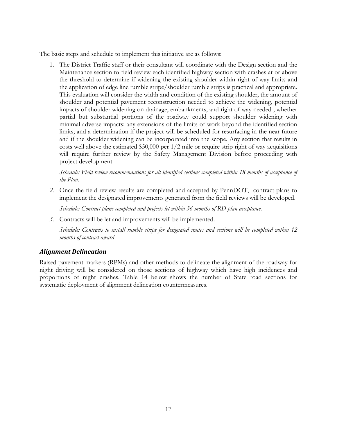The basic steps and schedule to implement this initiative are as follows:

1. The District Traffic staff or their consultant will coordinate with the Design section and the Maintenance section to field review each identified highway section with crashes at or above the threshold to determine if widening the existing shoulder within right of way limits and the application of edge line rumble stripe/shoulder rumble strips is practical and appropriate. This evaluation will consider the width and condition of the existing shoulder, the amount of shoulder and potential pavement reconstruction needed to achieve the widening, potential impacts of shoulder widening on drainage, embankments, and right of way needed ; whether partial but substantial portions of the roadway could support shoulder widening with minimal adverse impacts; any extensions of the limits of work beyond the identified section limits; and a determination if the project will be scheduled for resurfacing in the near future and if the shoulder widening can be incorporated into the scope. Any section that results in costs well above the estimated  $$50,000$  per  $1/2$  mile or require strip right of way acquisitions will require further review by the Safety Management Division before proceeding with project development.

*Schedule: Field review recommendations for all identified sections completed within 18 months of acceptance of the Plan.*

*2.* Once the field review results are completed and accepted by PennDOT, contract plans to implement the designated improvements generated from the field reviews will be developed.

*Schedule: Contract plans completed and projects let within 36 months of RD plan acceptance.*

*3.* Contracts will be let and improvements will be implemented.

*Schedule: Contracts to install rumble strips for designated routes and sections will be completed within 12 months of contract award*

## <span id="page-23-0"></span>*Alignment Delineation*

<span id="page-23-1"></span>Raised pavement markers (RPMs) and other methods to delineate the alignment of the roadway for night driving will be considered on those sections of highway which have high incidences and proportions of night crashes. Table 14 below shows the number of State road sections for systematic deployment of alignment delineation countermeasures.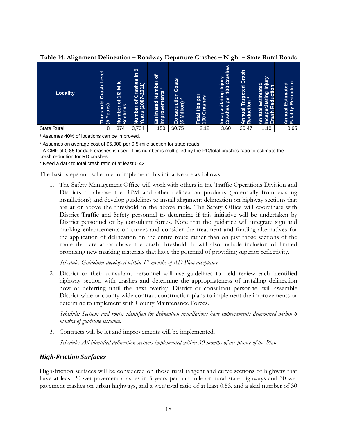| <b>Locality</b>                                                                                                                                                 | Level<br>Crash<br><b>Threshold</b><br>Years)<br>ம   | Mile<br>1/2<br>৳<br><b>Sections</b><br>Number | 5<br>르.<br>89<br><u>rash</u><br>$\overline{\phantom{0}}$<br>201<br>Õ<br>(200)<br>৳<br>Number<br>Years (2 | ৳<br><b>Number</b><br>ents<br>Estimated<br>vem<br><b>Impro</b> | Costs<br>Construction<br>$\mathbf{N}$<br>Million)<br>色 | jeo<br>Crashes<br><b>Fatalities</b><br>100 | Crashes<br>J Injury<br>00 Cra<br><b>Incapacitating</b><br>Crashes per 10 | Crash<br>Targeted(<br>ion <sup>3</sup><br>Reduction<br>Annual | ➢<br>Estimated<br>등<br>ರಾ<br><u>ita</u><br>Φ<br>ō<br><b>Innual</b><br>ಹ<br>Crash<br><b>ncap</b> | Reduction<br>Estimated<br>nnual<br>Fatality |
|-----------------------------------------------------------------------------------------------------------------------------------------------------------------|-----------------------------------------------------|-----------------------------------------------|----------------------------------------------------------------------------------------------------------|----------------------------------------------------------------|--------------------------------------------------------|--------------------------------------------|--------------------------------------------------------------------------|---------------------------------------------------------------|-------------------------------------------------------------------------------------------------|---------------------------------------------|
| <b>State Rural</b>                                                                                                                                              | 8                                                   | 374                                           | 3.734                                                                                                    | 150                                                            | \$0.75                                                 | 2.12                                       | 3.60                                                                     | 30.47                                                         | 1.10                                                                                            | 0.65                                        |
| <sup>1</sup> Assumes 40% of locations can be improved.                                                                                                          |                                                     |                                               |                                                                                                          |                                                                |                                                        |                                            |                                                                          |                                                               |                                                                                                 |                                             |
| <sup>2</sup> Assumes an average cost of \$5,000 per 0.5-mile section for state roads.                                                                           |                                                     |                                               |                                                                                                          |                                                                |                                                        |                                            |                                                                          |                                                               |                                                                                                 |                                             |
| <sup>3</sup> A CMF of 0.85 for dark crashes is used. This number is multiplied by the RD/total crashes ratio to estimate the<br>crash reduction for RD crashes. |                                                     |                                               |                                                                                                          |                                                                |                                                        |                                            |                                                                          |                                                               |                                                                                                 |                                             |
|                                                                                                                                                                 | * Need a dark to total crash ratio of at least 0.42 |                                               |                                                                                                          |                                                                |                                                        |                                            |                                                                          |                                                               |                                                                                                 |                                             |

**Table 14: Alignment Delineation – Roadway Departure Crashes – Night – State Rural Roads**

The basic steps and schedule to implement this initiative are as follows:

1. The Safety Management Office will work with others in the Traffic Operations Division and Districts to choose the RPM and other delineation products (potentially from existing installations) and develop guidelines to install alignment delineation on highway sections that are at or above the threshold in the above table. The Safety Office will coordinate with District Traffic and Safety personnel to determine if this initiative will be undertaken by District personnel or by consultant forces. Note that the guidance will integrate sign and marking enhancements on curves and consider the treatment and funding alternatives for the application of delineation on the entire route rather than on just those sections of the route that are at or above the crash threshold. It will also include inclusion of limited promising new marking materials that have the potential of providing superior reflectivity.

*Schedule: Guidelines developed within 12 months of RD Plan acceptance*

2. District or their consultant personnel will use guidelines to field review each identified highway section with crashes and determine the appropriateness of installing delineation now or deferring until the next overlay. District or consultant personnel will assemble District-wide or county-wide contract construction plans to implement the improvements or determine to implement with County Maintenance Forces.

*Schedule: Sections and routes identified for delineation installations have improvements determined within 6 months of guideline issuance.*

3. Contracts will be let and improvements will be implemented.

*Schedule: All identified delineation sections implemented within 30 months of acceptance of the Plan.*

## <span id="page-24-0"></span>*High-Friction Surfaces*

High-friction surfaces will be considered on those rural tangent and curve sections of highway that have at least 20 wet pavement crashes in 5 years per half mile on rural state highways and 30 wet pavement crashes on urban highways, and a wet/total ratio of at least 0.53, and a skid number of 30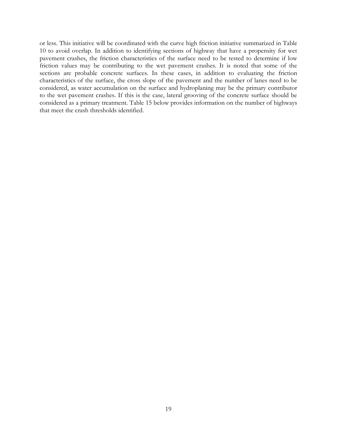or less. This initiative will be coordinated with the curve high friction initiative summarized in Table 10 to avoid overlap. In addition to identifying sections of highway that have a propensity for wet pavement crashes, the friction characteristics of the surface need to be tested to determine if low friction values may be contributing to the wet pavement crashes. It is noted that some of the sections are probable concrete surfaces. In these cases, in addition to evaluating the friction characteristics of the surface, the cross slope of the pavement and the number of lanes need to be considered, as water accumulation on the surface and hydroplaning may be the primary contributor to the wet pavement crashes. If this is the case, lateral grooving of the concrete surface should be considered as a primary treatment. Table 15 below provides information on the number of highways that meet the crash thresholds identified.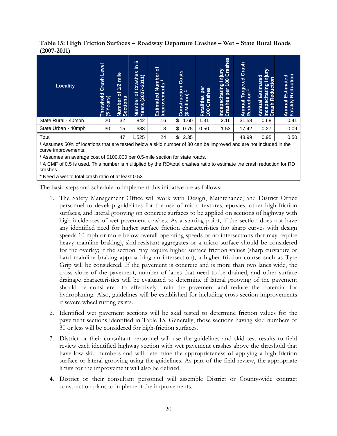<span id="page-26-0"></span>**Table 15: High Friction Surfaces – Roadway Departure Crashes – Wet – State Rural Roads (2007-2011)**

| <b>Locality</b>     | Level<br>Crash<br>Threshold<br>(5 Years)<br>ಅ | <b>Plim</b><br>$\overline{1/2}$<br>$\overline{5}$<br>Number c<br>Sections | 5<br>르<br>Crashes<br>$(2007 - 2011)$<br><b>b</b><br>Number<br>Years (20 | $\mathbf{b}$<br>Number<br>$\overline{ }$<br>Improvements<br>Estimated | Costs<br>$\frac{1}{2}$ Construction | per<br>Crashes<br>Fatalities<br>100 Crash | Incapacitating Injury<br>Crashes per 100 Crashes | Crash<br>Targeted<br>ion <sup>3</sup><br>Reduction<br>Annual | <b>Vinjury</b><br>Estimated<br>Incapacitating In<br>Crash Reduction<br>Annual | Reduction<br>Estimated<br>Annual I<br>Fatality |
|---------------------|-----------------------------------------------|---------------------------------------------------------------------------|-------------------------------------------------------------------------|-----------------------------------------------------------------------|-------------------------------------|-------------------------------------------|--------------------------------------------------|--------------------------------------------------------------|-------------------------------------------------------------------------------|------------------------------------------------|
| State Rural - 40mph | 20                                            | 32                                                                        | 842                                                                     | 16                                                                    | \$<br>1.60                          | 1.31                                      | 2.16                                             | 31.58                                                        | 0.68                                                                          | 0.41                                           |
| State Urban - 40mph | 30                                            | 15                                                                        | 683                                                                     | 8                                                                     | \$<br>0.75                          | 0.50                                      | 1.53                                             | 17.42                                                        | 0.27                                                                          | 0.09                                           |
| Total               |                                               | 47                                                                        | 1,525                                                                   | 24                                                                    | \$<br>2.35                          |                                           |                                                  | 48.99                                                        | 0.95                                                                          | 0.50                                           |

<sup>1</sup> Assumes 50% of locations that are tested below a skid number of 30 can be improved and are not included in the curve improvements.

² Assumes an average cost of \$100,000 per 0.5-mile section for state roads.

<sup>3</sup> A CMF of 0.5 is used. This number is multiplied by the RD/total crashes ratio to estimate the crash reduction for RD crashes.

\* Need a wet to total crash ratio of at least 0.53

The basic steps and schedule to implement this initiative are as follows:

- 1. The Safety Management Office will work with Design, Maintenance, and District Office personnel to develop guidelines for the use of micro-textures, epoxies, other high-friction surfaces, and lateral grooving on concrete surfaces to be applied on sections of highway with high incidences of wet pavement crashes. As a starting point, if the section does not have any identified need for higher surface friction characteristics (no sharp curves with design speeds 10 mph or more below overall operating speeds or no intersections that may require heavy mainline braking), skid-resistant aggregates or a micro-surface should be considered for the overlay; if the section may require higher surface friction values (sharp curvature or hard mainline braking approaching an intersection), a higher friction course such as Tyre Grip will be considered. If the pavement is concrete and is more than two lanes wide, the cross slope of the pavement, number of lanes that need to be drained, and other surface drainage characteristics will be evaluated to determine if lateral grooving of the pavement should be considered to effectively drain the pavement and reduce the potential for hydroplaning. Also, guidelines will be established for including cross-section improvements if severe wheel rutting exists.
- 2. Identified wet pavement sections will be skid tested to determine friction values for the pavement sections identified in Table 15. Generally, those sections having skid numbers of 30 or less will be considered for high-friction surfaces.
- 3. District or their consultant personnel will use the guidelines and skid test results to field review each identified highway section with wet pavement crashes above the threshold that have low skid numbers and will determine the appropriateness of applying a high-friction surface or lateral grooving using the guidelines. As part of the field review, the appropriate limits for the improvement will also be defined.
- 4. District or their consultant personnel will assemble District or County-wide contract construction plans to implement the improvements.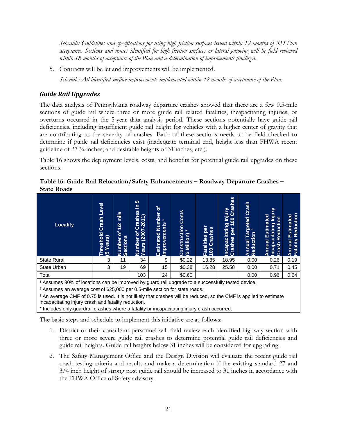*Schedule: Guidelines and specifications for using high friction surfaces issued within 12 months of RD Plan acceptance. Sections and routes identified for high friction surfaces or lateral grooving will be field reviewed within 18 months of acceptance of the Plan and a determination of improvements finalized.*

5. Contracts will be let and improvements will be implemented.

*Schedule: All identified surface improvements implemented within 42 months of acceptance of the Plan.*

# <span id="page-27-0"></span>*Guide Rail Upgrades*

The data analysis of Pennsylvania roadway departure crashes showed that there are a few 0.5-mile sections of guide rail where three or more guide rail related fatalities, incapacitating injuries, or overturns occurred in the 5-year data analysis period. These sections potentially have guide rail deficiencies, including insufficient guide rail height for vehicles with a higher center of gravity that are contributing to the severity of crashes. Each of these sections needs to be field checked to determine if guide rail deficiencies exist (inadequate terminal end, height less than FHWA recent guideline of 27 ¾ inches; and desirable heights of 31 inches, etc.).

Table 16 shows the deployment levels, costs, and benefits for potential guide rail upgrades on these sections.

| <b>Locality</b>                                            | <b>Level</b><br>Crash<br>reshold<br>Years)<br>ஞ | mile<br>1/2<br>৳<br>Number c<br>Sections | 5<br>르<br>Crashes<br>$(2007 - 2011)$<br>$\sigma$<br>Number<br>Years (20 | $\mathbf{p}$<br>Number<br>$\overline{ }$<br>Improvements<br>Estimated | Costs<br>Construction<br>(\$ Million) <sup>2</sup> | per<br>Crashes<br><b>Fatalities</b><br>100 | Crashes<br>lnjury<br>Incapacitating Inj<br>The Processing<br><b>Ted</b> | Crash<br>Targeted<br>ion <sup>3</sup><br>Reduction<br>Annual | 5<br>르<br>Estimated<br>Incapacitating In<br>Crash Reduction<br>Annual | Reduction<br>Estimated<br>Annual I<br>Fatality |
|------------------------------------------------------------|-------------------------------------------------|------------------------------------------|-------------------------------------------------------------------------|-----------------------------------------------------------------------|----------------------------------------------------|--------------------------------------------|-------------------------------------------------------------------------|--------------------------------------------------------------|-----------------------------------------------------------------------|------------------------------------------------|
| <b>State Rural</b>                                         | 3                                               | 11                                       | 34                                                                      | 9                                                                     | \$0.22                                             | 13.85                                      | 18.95                                                                   | 0.00                                                         | 0.26                                                                  | 0.19                                           |
| <b>State Urban</b>                                         | 3                                               | 19                                       | 69                                                                      | 15                                                                    | \$0.38                                             | 16.28                                      | 25.58                                                                   | 0.00                                                         | 0.71                                                                  | 0.45                                           |
| Total                                                      |                                                 |                                          | 103                                                                     | 24                                                                    | \$0.60                                             |                                            |                                                                         | 0.00                                                         | 0.96                                                                  | 0.64                                           |
| $\overline{a}$<br>. .<br>$\sim$ $\sim$ $\sim$<br>$\cdot$ . |                                                 |                                          | $\cdot$ $\cdot$                                                         |                                                                       |                                                    |                                            | $\sim$ $\sim$                                                           |                                                              |                                                                       |                                                |

<span id="page-27-1"></span>**Table 16: Guide Rail Relocation/Safety Enhancements – Roadway Departure Crashes – State Roads**

<sup>1</sup> Assumes 80% of locations can be improved by guard rail upgrade to a successfully tested device.

² Assumes an average cost of \$25,000 per 0.5-mile section for state roads.

<sup>3</sup> An average CMF of 0.75 is used. It is not likely that crashes will be reduced, so the CMF is applied to estimate incapacitating injury crash and fatality reduction.

\* Includes only guardrail crashes where a fatality or incapacitating injury crash occurred.

The basic steps and schedule to implement this initiative are as follows:

- 1. District or their consultant personnel will field review each identified highway section with three or more severe guide rail crashes to determine potential guide rail deficiencies and guide rail heights. Guide rail heights below 31 inches will be considered for upgrading.
- 2. The Safety Management Office and the Design Division will evaluate the recent guide rail crash testing criteria and results and make a determination if the existing standard 27 and 3/4 inch height of strong post guide rail should be increased to 31 inches in accordance with the FHWA Office of Safety advisory.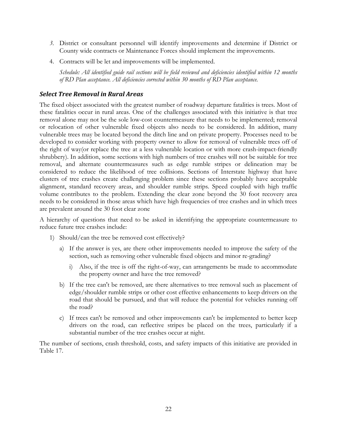- *3.* District or consultant personnel will identify improvements and determine if District or County wide contracts or Maintenance Forces should implement the improvements.
- 4. Contracts will be let and improvements will be implemented.

*Schedule: All identified guide rail sections will be field reviewed and deficiencies identified within 12 months of RD Plan acceptance. All deficiencies corrected within 30 months of RD Plan acceptance.*

#### <span id="page-28-0"></span>*Select Tree Removal in Rural Areas*

The fixed object associated with the greatest number of roadway departure fatalities is trees. Most of these fatalities occur in rural areas. One of the challenges associated with this initiative is that tree removal alone may not be the sole low-cost countermeasure that needs to be implemented; removal or relocation of other vulnerable fixed objects also needs to be considered. In addition, many vulnerable trees may be located beyond the ditch line and on private property. Processes need to be developed to consider working with property owner to allow for removal of vulnerable trees off of the right of way(or replace the tree at a less vulnerable location or with more crash-impact-friendly shrubbery). In addition, some sections with high numbers of tree crashes will not be suitable for tree removal, and alternate countermeasures such as edge rumble stripes or delineation may be considered to reduce the likelihood of tree collisions. Sections of Interstate highway that have clusters of tree crashes create challenging problem since these sections probably have acceptable alignment, standard recovery areas, and shoulder rumble strips. Speed coupled with high traffic volume contributes to the problem. Extending the clear zone beyond the 30 foot recovery area needs to be considered in those areas which have high frequencies of tree crashes and in which trees are prevalent around the 30 foot clear zone

A hierarchy of questions that need to be asked in identifying the appropriate countermeasure to reduce future tree crashes include:

- 1) Should/can the tree be removed cost effectively?
	- a) If the answer is yes, are there other improvements needed to improve the safety of the section, such as removing other vulnerable fixed objects and minor re-grading?
		- i) Also, if the tree is off the right-of-way, can arrangements be made to accommodate the property owner and have the tree removed?
	- b) If the tree can't be removed, are there alternatives to tree removal such as placement of edge/shoulder rumble strips or other cost effective enhancements to keep drivers on the road that should be pursued, and that will reduce the potential for vehicles running off the road?
	- c) If trees can't be removed and other improvements can't be implemented to better keep drivers on the road, can reflective stripes be placed on the trees, particularly if a substantial number of the tree crashes occur at night.

The number of sections, crash threshold, costs, and safety impacts of this initiative are provided in Table 17.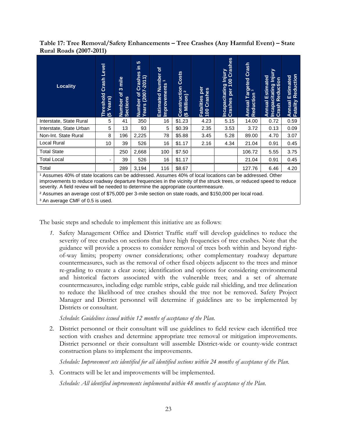<span id="page-29-0"></span>**Table 17: Tree Removal/Safety Enhancements – Tree Crashes (Any Harmful Event) – State Rural Roads (2007-2011)**

| <b>Locality</b>         | Level<br>Crash<br>Threshold<br>(5 Years)                                                                                                                                                                                                     | mile<br>$\mathfrak{S}$<br>৳<br>Number c<br>Sections | 5<br>르<br>es<br>∽<br>Crash<br>$\overline{\phantom{0}}$<br>$(2007 - 201)$<br>$\overline{\sigma}$<br>Number<br>Years (2 | ৳<br><b>Estimated Number</b><br>$\overline{\phantom{0}}$<br>Improvements | <b>Costs</b><br>Construction<br>$\mathbf{\alpha}$<br>(\$ Million) | per<br>Crashes<br>Fatalities<br>100 Crash | Crashes<br><u>Nnjury</u><br>8<br>Incapacitating<br>per<br>Crashes | Crash<br>Targeted<br><sup>on 3</sup><br>Reduction<br>Annual | <u>Injury</u><br>Estimated<br>Reduction<br><b>Incapacitating I</b><br>Crash Reductic<br>Annual | Reduction<br><b>Annual Estimated<br/>Fatality Reduction</b> |  |
|-------------------------|----------------------------------------------------------------------------------------------------------------------------------------------------------------------------------------------------------------------------------------------|-----------------------------------------------------|-----------------------------------------------------------------------------------------------------------------------|--------------------------------------------------------------------------|-------------------------------------------------------------------|-------------------------------------------|-------------------------------------------------------------------|-------------------------------------------------------------|------------------------------------------------------------------------------------------------|-------------------------------------------------------------|--|
| Interstate, State Rural | 5                                                                                                                                                                                                                                            | 41                                                  | 350                                                                                                                   | 16                                                                       | \$1.23                                                            | 4.23                                      | 5.15                                                              | 14.00                                                       | 0.72                                                                                           | 0.59                                                        |  |
| Interstate, State Urban | 5                                                                                                                                                                                                                                            | 13                                                  | 93                                                                                                                    | 5                                                                        | \$0.39                                                            | 2.35                                      | 3.53                                                              | 3.72                                                        | 0.13                                                                                           | 0.09                                                        |  |
| Non-Int. State Rural    | 8                                                                                                                                                                                                                                            | 196                                                 | 2,225                                                                                                                 | 78                                                                       | \$5.88                                                            | 3.45                                      | 5.28                                                              | 89.00                                                       | 4.70                                                                                           | 3.07                                                        |  |
| Local Rural             | 10                                                                                                                                                                                                                                           | 39                                                  | 526                                                                                                                   | 16                                                                       | \$1.17                                                            | 2.16                                      | 4.34                                                              | 21.04                                                       | 0.91                                                                                           | 0.45                                                        |  |
| <b>Total State</b>      |                                                                                                                                                                                                                                              | 250                                                 | 2,668                                                                                                                 | 100                                                                      | \$7.50                                                            |                                           |                                                                   | 106.72                                                      | 5.55                                                                                           | 3.75                                                        |  |
| <b>Total Local</b>      |                                                                                                                                                                                                                                              | 39                                                  | 526                                                                                                                   | 16                                                                       | \$1.17                                                            |                                           |                                                                   | 21.04                                                       | 0.91                                                                                           | 0.45                                                        |  |
| Total                   |                                                                                                                                                                                                                                              | 289                                                 | 3,194                                                                                                                 | 116                                                                      | \$8.67                                                            |                                           |                                                                   | 127.76                                                      | 6.46                                                                                           | 4.20                                                        |  |
|                         | <sup>1</sup> Assumes 40% of state locations can be addressed. Assumes 40% of local locations can be addressed. Other<br>improvements to reduce roadway departure frequencies in the vicinity of the struck trees, or reduced speed to reduce |                                                     |                                                                                                                       |                                                                          |                                                                   |                                           |                                                                   |                                                             |                                                                                                |                                                             |  |

severity. A field review will be needed to determine the appropriate countermeasure. ² Assumes an average cost of \$75,000 per 3-mile section on state roads, and \$150,000 per local road.

<sup>3</sup> An average CMF of 0.5 is used.

The basic steps and schedule to implement this initiative are as follows:

*1.* Safety Management Office and District Traffic staff will develop guidelines to reduce the severity of tree crashes on sections that have high frequencies of tree crashes. Note that the guidance will provide a process to consider removal of trees both within and beyond rightof-way limits; property owner considerations; other complementary roadway departure countermeasures, such as the removal of other fixed objects adjacent to the trees and minor re-grading to create a clear zone; identification and options for considering environmental and historical factors associated with the vulnerable trees; and a set of alternate countermeasures, including edge rumble strips, cable guide rail shielding, and tree delineation to reduce the likelihood of tree crashes should the tree not be removed. Safety Project Manager and District personnel will determine if guidelines are to be implemented by Districts or consultant.

*Schedule*: *Guidelines issued within 12 months of acceptance of the Plan.*

2. District personnel or their consultant will use guidelines to field review each identified tree section with crashes and determine appropriate tree removal or mitigation improvements. District personnel or their consultant will assemble District-wide or county-wide contract construction plans to implement the improvements.

*Schedule: Improvement sets identified for all identified sections within 24 months of acceptance of the Plan.*

3. Contracts will be let and improvements will be implemented.

*Schedule: All identified improvements implemented within 48 months of acceptance of the Plan.*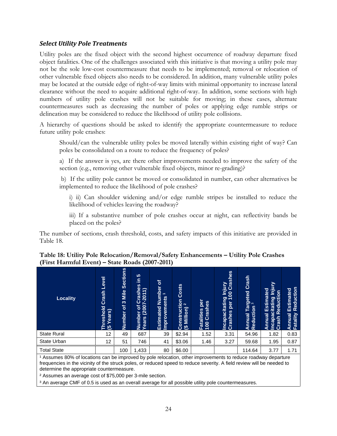#### <span id="page-30-0"></span>*Select Utility Pole Treatments*

Utility poles are the fixed object with the second highest occurrence of roadway departure fixed object fatalities. One of the challenges associated with this initiative is that moving a utility pole may not be the sole low-cost countermeasure that needs to be implemented; removal or relocation of other vulnerable fixed objects also needs to be considered. In addition, many vulnerable utility poles may be located at the outside edge of right-of-way limits with minimal opportunity to increase lateral clearance without the need to acquire additional right-of-way. In addition, some sections with high numbers of utility pole crashes will not be suitable for moving; in these cases, alternate countermeasures such as decreasing the number of poles or applying edge rumble strips or delineation may be considered to reduce the likelihood of utility pole collisions.

A hierarchy of questions should be asked to identify the appropriate countermeasure to reduce future utility pole crashes:

Should/can the vulnerable utility poles be moved laterally within existing right of way? Can poles be consolidated on a route to reduce the frequency of poles?

a) If the answer is yes, are there other improvements needed to improve the safety of the section (e.g., removing other vulnerable fixed objects, minor re-grading)?

b) If the utility pole cannot be moved or consolidated in number, can other alternatives be implemented to reduce the likelihood of pole crashes?

i) ii) Can shoulder widening and/or edge rumble stripes be installed to reduce the likelihood of vehicles leaving the roadway?

iii) If a substantive number of pole crashes occur at night, can reflectivity bands be placed on the poles?

The number of sections, crash threshold, costs, and safety impacts of this initiative are provided in Table 18.

| <b>Locality</b>    | <b>Level</b><br>Crash<br>eshold<br><b>Years</b> )<br>ತ | <b>Sections</b><br>Mile<br>$\infty$<br>৳<br>Number | <b>5</b><br>르<br>es<br>$(2007 - 2011)$<br>Crash<br>৳<br>umber<br>Numb<br>Years | $\sigma$<br>Number<br>$\overline{\phantom{0}}$<br>Improvements<br>Estimated | Costs<br>Construction<br>(\$ Million) <sup>2</sup> | per<br>Crashes<br>Fatalities<br>100 Crash | Injury<br>00 Crashes<br>Incapacitating In<br>Crashes per 100 | Crash<br>Targeted<br>op 3<br>Reduction<br><b>Innual</b><br>∢ | ⊵<br>르<br>Estimated<br>acitating Inj<br>Reducti <u>on</u><br>Incapacitatin<br>Annual<br>Crash | Reduction<br>Estimated<br>Annual<br>Fatality |
|--------------------|--------------------------------------------------------|----------------------------------------------------|--------------------------------------------------------------------------------|-----------------------------------------------------------------------------|----------------------------------------------------|-------------------------------------------|--------------------------------------------------------------|--------------------------------------------------------------|-----------------------------------------------------------------------------------------------|----------------------------------------------|
| <b>State Rural</b> | 12                                                     | 49                                                 | 687                                                                            | 39                                                                          | \$2.94                                             | 1.52                                      | 3.31                                                         | 54.96                                                        | 1.82                                                                                          | 0.83                                         |
| State Urban        | 12                                                     | 51                                                 | 746                                                                            | 41                                                                          | \$3.06                                             | 1.46                                      | 3.27                                                         | 59.68                                                        | 1.95                                                                                          | 0.87                                         |
| <b>Total State</b> |                                                        | 100                                                | 1,433                                                                          | 80                                                                          | \$6.00                                             |                                           |                                                              | 114.64                                                       | 3.77                                                                                          | 1.71                                         |

#### <span id="page-30-1"></span>**Table 18: Utility Pole Relocation/Removal/Safety Enhancements – Utility Pole Crashes (First Harmful Event) – State Roads (2007-2011)**

<sup>1</sup> Assumes 80% of locations can be improved by pole relocation, other improvements to reduce roadway departure frequencies in the vicinity of the struck poles, or reduced speed to reduce severity. A field review will be needed to determine the appropriate countermeasure.

² Assumes an average cost of \$75,000 per 3-mile section.

<sup>3</sup> An average CMF of 0.5 is used as an overall average for all possible utility pole countermeasures.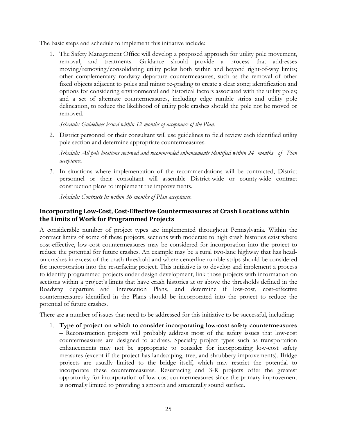The basic steps and schedule to implement this initiative include:

1. The Safety Management Office will develop a proposed approach for utility pole movement, removal, and treatments. Guidance should provide a process that addresses moving/removing/consolidating utility poles both within and beyond right-of-way limits; other complementary roadway departure countermeasures, such as the removal of other fixed objects adjacent to poles and minor re-grading to create a clear zone; identification and options for considering environmental and historical factors associated with the utility poles; and a set of alternate countermeasures, including edge rumble strips and utility pole delineation, to reduce the likelihood of utility pole crashes should the pole not be moved or removed.

*Schedule: Guidelines issued within 12 months of acceptance of the Plan.*

2. District personnel or their consultant will use guidelines to field review each identified utility pole section and determine appropriate countermeasures.

*Schedule: All pole locations reviewed and recommended enhancements identified within 24 months of Plan acceptance.*

3. In situations where implementation of the recommendations will be contracted, District personnel or their consultant will assemble District-wide or county-wide contract construction plans to implement the improvements.

*Schedule: Contracts let within 36 months of Plan acceptance.*

# <span id="page-31-0"></span>**Incorporating Low-Cost, Cost-Effective Countermeasures at Crash Locations within the Limits of Work for Programmed Projects**

A considerable number of project types are implemented throughout Pennsylvania. Within the contract limits of some of these projects, sections with moderate to high crash histories exist where cost-effective, low-cost countermeasures may be considered for incorporation into the project to reduce the potential for future crashes. An example may be a rural two-lane highway that has headon crashes in excess of the crash threshold and where centerline rumble strips should be considered for incorporation into the resurfacing project. This initiative is to develop and implement a process to identify programmed projects under design development, link those projects with information on sections within a project's limits that have crash histories at or above the thresholds defined in the Roadway departure and Intersection Plans, and determine if low-cost, cost-effective countermeasures identified in the Plans should be incorporated into the project to reduce the potential of future crashes.

There are a number of issues that need to be addressed for this initiative to be successful, including:

1. **Type of project on which to consider incorporating low-cost safety countermeasures** – Reconstruction projects will probably address most of the safety issues that low-cost countermeasures are designed to address. Specialty project types such as transportation enhancements may not be appropriate to consider for incorporating low-cost safety measures (except if the project has landscaping, tree, and shrubbery improvements). Bridge projects are usually limited to the bridge itself, which may restrict the potential to incorporate these countermeasures. Resurfacing and 3-R projects offer the greatest opportunity for incorporation of low-cost countermeasures since the primary improvement is normally limited to providing a smooth and structurally sound surface.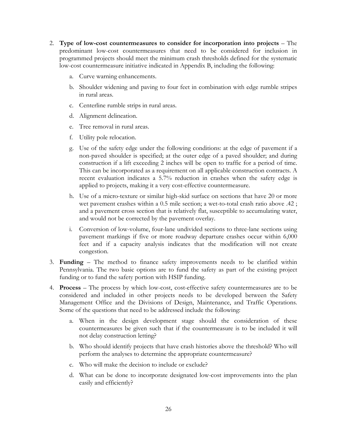- 2. **Type of low-cost countermeasures to consider for incorporation into projects** The predominant low-cost countermeasures that need to be considered for inclusion in programmed projects should meet the minimum crash thresholds defined for the systematic low-cost countermeasure initiative indicated in Appendix B, including the following:
	- a. Curve warning enhancements.
	- b. Shoulder widening and paving to four feet in combination with edge rumble stripes in rural areas.
	- c. Centerline rumble strips in rural areas.
	- d. Alignment delineation.
	- e. Tree removal in rural areas.
	- f. Utility pole relocation.
	- g. Use of the safety edge under the following conditions: at the edge of pavement if a non-paved shoulder is specified; at the outer edge of a paved shoulder; and during construction if a lift exceeding 2 inches will be open to traffic for a period of time. This can be incorporated as a requirement on all applicable construction contracts. A recent evaluation indicates a 5.7% reduction in crashes when the safety edge is applied to projects, making it a very cost-effective countermeasure.
	- h. Use of a micro-texture or similar high-skid surface on sections that have 20 or more wet pavement crashes within a 0.5 mile section; a wet-to-total crash ratio above .42 ; and a pavement cross section that is relatively flat, susceptible to accumulating water, and would not be corrected by the pavement overlay.
	- i. Conversion of low-volume, four-lane undivided sections to three-lane sections using pavement markings if five or more roadway departure crashes occur within 6,000 feet and if a capacity analysis indicates that the modification will not create congestion.
- 3. **Funding** The method to finance safety improvements needs to be clarified within Pennsylvania. The two basic options are to fund the safety as part of the existing project funding or to fund the safety portion with HSIP funding.
- 4. **Process** The process by which low-cost, cost-effective safety countermeasures are to be considered and included in other projects needs to be developed between the Safety Management Office and the Divisions of Design, Maintenance, and Traffic Operations. Some of the questions that need to be addressed include the following:
	- a. When in the design development stage should the consideration of these countermeasures be given such that if the countermeasure is to be included it will not delay construction letting?
	- b. Who should identify projects that have crash histories above the threshold? Who will perform the analyses to determine the appropriate countermeasure?
	- c. Who will make the decision to include or exclude?
	- d. What can be done to incorporate designated low-cost improvements into the plan easily and efficiently?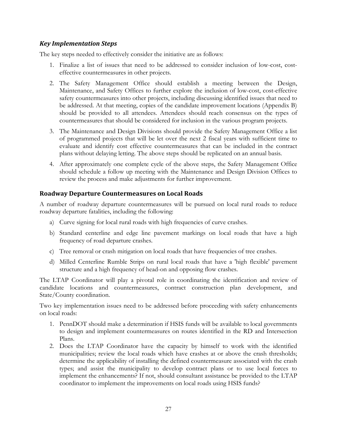## <span id="page-33-0"></span>*Key Implementation Steps*

The key steps needed to effectively consider the initiative are as follows:

- 1. Finalize a list of issues that need to be addressed to consider inclusion of low-cost, costeffective countermeasures in other projects.
- 2. The Safety Management Office should establish a meeting between the Design, Maintenance, and Safety Offices to further explore the inclusion of low-cost, cost-effective safety countermeasures into other projects, including discussing identified issues that need to be addressed. At that meeting, copies of the candidate improvement locations (Appendix B) should be provided to all attendees. Attendees should reach consensus on the types of countermeasures that should be considered for inclusion in the various program projects.
- 3. The Maintenance and Design Divisions should provide the Safety Management Office a list of programmed projects that will be let over the next 2 fiscal years with sufficient time to evaluate and identify cost effective countermeasures that can be included in the contract plans without delaying letting. The above steps should be replicated on an annual basis.
- 4. After approximately one complete cycle of the above steps, the Safety Management Office should schedule a follow up meeting with the Maintenance and Design Division Offices to review the process and make adjustments for further improvement.

# <span id="page-33-1"></span>**Roadway Departure Countermeasures on Local Roads**

A number of roadway departure countermeasures will be pursued on local rural roads to reduce roadway departure fatalities, including the following:

- a) Curve signing for local rural roads with high frequencies of curve crashes.
- b) Standard centerline and edge line pavement markings on local roads that have a high frequency of road departure crashes.
- c) Tree removal or crash mitigation on local roads that have frequencies of tree crashes.
- d) Milled Centerline Rumble Strips on rural local roads that have a 'high flexible' pavement structure and a high frequency of head-on and opposing flow crashes.

The LTAP Coordinator will play a pivotal role in coordinating the identification and review of candidate locations and countermeasures, contract construction plan development, and State/County coordination.

Two key implementation issues need to be addressed before proceeding with safety enhancements on local roads:

- 1. PennDOT should make a determination if HSIS funds will be available to local governments to design and implement countermeasures on routes identified in the RD and Intersection Plans.
- 2. Does the LTAP Coordinator have the capacity by himself to work with the identified municipalities; review the local roads which have crashes at or above the crash thresholds; determine the applicability of installing the defined countermeasure associated with the crash types; and assist the municipality to develop contract plans or to use local forces to implement the enhancements? If not, should consultant assistance be provided to the LTAP coordinator to implement the improvements on local roads using HSIS funds?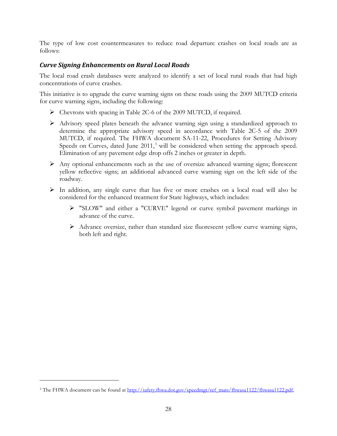The type of low cost countermeasures to reduce road departure crashes on local roads are as follows:

# <span id="page-34-0"></span>*Curve Signing Enhancements on Rural Local Roads*

The local road crash databases were analyzed to identify a set of local rural roads that had high concentrations of curve crashes.

This initiative is to upgrade the curve warning signs on these roads using the 2009 MUTCD criteria for curve warning signs, including the following:

- Chevrons with spacing in Table 2C-6 of the 2009 MUTCD, if required.
- $\triangleright$  Advisory speed plates beneath the advance warning sign using a standardized approach to determine the appropriate advisory speed in accordance with Table 2C-5 of the 2009 MUTCD, if required. The FHWA document SA-11-22, Procedures for Setting Advisory Speeds on Curves, dated June 2011,<sup>[3](#page-34-1)</sup> will be considered when setting the approach speed. Elimination of any pavement edge drop offs 2 inches or greater in depth.
- $\triangleright$  Any optional enhancements such as the use of oversize advanced warning signs; florescent yellow reflective signs; an additional advanced curve warning sign on the left side of the roadway.
- $\triangleright$  In addition, any single curve that has five or more crashes on a local road will also be considered for the enhanced treatment for State highways, which includes:
	- "SLOW" and either a "CURVE" legend or curve symbol pavement markings in advance of the curve.
	- Advance oversize, rather than standard size fluorescent yellow curve warning signs, both left and right.

 $\overline{a}$ 

<span id="page-34-1"></span><sup>&</sup>lt;sup>3</sup> The FHWA document can be found at [http://safety.fhwa.dot.gov/speedmgt/ref\\_mats/fhwasa1122/fhwasa1122.pdf,](http://safety.fhwa.dot.gov/speedmgt/ref_mats/fhwasa1122/fhwasa1122.pdf)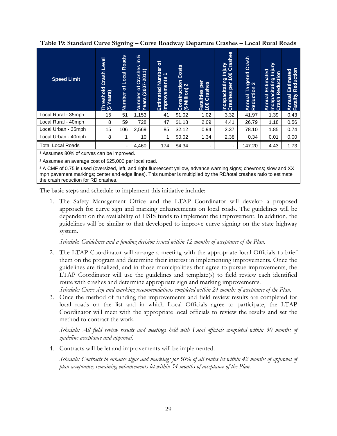<span id="page-35-0"></span>**Table 19: Standard Curve Signing – Curve Roadway Departure Crashes – Local Rural Roads**

| <b>Speed Limit</b>       | Level<br>Crash<br>reshold<br>Years)<br>ਦੇ ਦ | <b>Roads</b><br>Local<br>৳<br><b>Number</b> | <b>5</b><br>르.<br>$rac{65}{1}$<br>Crash<br>7-2011)<br>er of<br>៵<br>Number<br>Years | ৳<br>Number<br>$\overline{\phantom{0}}$<br>ents<br>Improvem<br>Estimated | <b>Costs</b><br>Construction<br>$\mathbf{\Omega}$<br>Million)<br>$\mathfrak{B}$ | ber<br>Crashes<br>Fatalities<br>100 Crash | g Injury<br>100 Crashes<br>Incapacitating<br>Crashes per 1<br>per | Crash<br>geted<br>3<br>ನ<br>Reduction<br>Annual | ≧<br>lajur<br>Estimated<br>$\overline{5}$<br><b>Incapacitating I</b><br>Crash Reductio<br>Annual | Reduction<br>Estimated<br>Fatality<br>Annual |
|--------------------------|---------------------------------------------|---------------------------------------------|-------------------------------------------------------------------------------------|--------------------------------------------------------------------------|---------------------------------------------------------------------------------|-------------------------------------------|-------------------------------------------------------------------|-------------------------------------------------|--------------------------------------------------------------------------------------------------|----------------------------------------------|
| Local Rural - 35mph      | 15                                          | 51                                          | 1,153                                                                               | 41                                                                       | \$1.02                                                                          | 1.02                                      | 3.32                                                              | 41.97                                           | 1.39                                                                                             | 0.43                                         |
| Local Rural - 40mph      | 8                                           | 59                                          | 728                                                                                 | 47                                                                       | \$1.18                                                                          | 2.09                                      | 4.41                                                              | 26.79                                           | 1.18                                                                                             | 0.56                                         |
| Local Urban - 35mph      | 15                                          | 106                                         | 2,569                                                                               | 85                                                                       | \$2.12                                                                          | 0.94                                      | 2.37                                                              | 78.10                                           | 1.85                                                                                             | 0.74                                         |
| Local Urban - 40mph      | 8                                           |                                             | 10                                                                                  |                                                                          | \$0.02                                                                          | 1.34                                      | 2.38                                                              | 0.34                                            | 0.01                                                                                             | 0.00                                         |
| <b>Total Local Roads</b> |                                             | $\overline{\phantom{a}}$                    | 4,460                                                                               | 174                                                                      | \$4.34                                                                          | $\overline{\phantom{0}}$                  | ٠                                                                 | 147.20                                          | 4.43                                                                                             | 1.73                                         |

<sup>1</sup> Assumes 80% of curves can be improved.

² Assumes an average cost of \$25,000 per local road.

<sup>3</sup> A CMF of 0.75 is used (oversized, left, and right fluorescent yellow, advance warning signs; chevrons; slow and XX mph pavement markings; center and edge lines). This number is multiplied by the RD/total crashes ratio to estimate the crash reduction for RD crashes.

The basic steps and schedule to implement this initiative include:

1. The Safety Management Office and the LTAP Coordinator will develop a proposed approach for curve sign and marking enhancements on local roads. The guidelines will be dependent on the availability of HSIS funds to implement the improvement. In addition, the guidelines will be similar to that developed to improve curve signing on the state highway system.

*Schedule*: *Guidelines and a funding decision issued within 12 months of acceptance of the Plan.*

2. The LTAP Coordinator will arrange a meeting with the appropriate local Officials to brief them on the program and determine their interest in implementing improvements. Once the guidelines are finalized, and in those municipalities that agree to pursue improvements, the LTAP Coordinator will use the guidelines and template(s) to field review each identified route with crashes and determine appropriate sign and marking improvements.

*Schedule: Curve sign and marking recommendations completed within 24 months of acceptance of the Plan.*

3. Once the method of funding the improvements and field review results are completed for local roads on the list and in which Local Officials agree to participate, the LTAP Coordinator will meet with the appropriate local officials to review the results and set the method to contract the work.

*Schedule: All field review results and meetings held with Local officials completed within 30 months of guideline acceptance and approval.*

4. Contracts will be let and improvements will be implemented.

*Schedule: Contracts to enhance signs and markings for 50% of all routes let within 42 months of approval of plan acceptance; remaining enhancements let within 54 months of acceptance of the Plan.*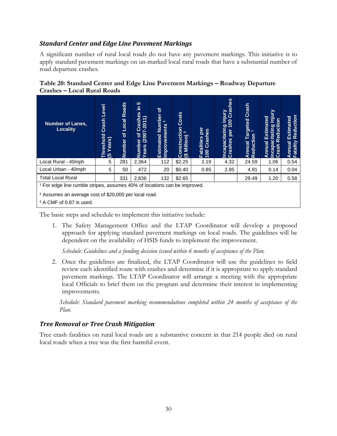#### <span id="page-36-0"></span>*Standard Center and Edge Line Pavement Markings*

A significant number of rural local roads do not have any pavement markings. This initiative is to apply standard pavement markings on un-marked local rural roads that have a substantial number of road departure crashes.

<span id="page-36-2"></span>

| Table 20: Standard Center and Edge Line Pavement Markings - Roadway Departure<br><b>Crashes – Local Rural Roads</b> |  |  |  |  |  |  |  |  |  |  |  |
|---------------------------------------------------------------------------------------------------------------------|--|--|--|--|--|--|--|--|--|--|--|
|                                                                                                                     |  |  |  |  |  |  |  |  |  |  |  |

| <b>Number of Lanes,</b><br><b>Locality</b>                                                                                                                                                      | Level<br>Crash<br>Threshold<br>(5 Years) | Roads<br>Local<br>৳<br>Number | 10<br>르<br>Crashes<br>$\overline{\phantom{0}}$<br>$\overline{\phantom{0}}$<br>$(2007 - 20)$<br>ិ៍<br>Number<br>Years | ট<br>Number<br>$\overline{\phantom{0}}$<br><b>Improvements</b><br>Estimated | Costs<br>Construction<br>$\sim$<br>Million)<br>ಅ | per<br>Crashes<br>Fatalities<br>100 Crash | Injury<br>00 Crashes<br>Incapacitating In<br>Crashes per 100<br><b>Per</b> | Crash<br>Targeted<br>on <sup>3</sup><br>Reduction<br>Annual | ≧<br>Estimated<br>c<br>Reduction<br>itating<br>ပ<br>Annual<br>capa<br>Crash<br>Ξ | Reduction<br>Estimated<br>Fatality<br>Annual |
|-------------------------------------------------------------------------------------------------------------------------------------------------------------------------------------------------|------------------------------------------|-------------------------------|----------------------------------------------------------------------------------------------------------------------|-----------------------------------------------------------------------------|--------------------------------------------------|-------------------------------------------|----------------------------------------------------------------------------|-------------------------------------------------------------|----------------------------------------------------------------------------------|----------------------------------------------|
| Local Rural - 40mph                                                                                                                                                                             | 5                                        | 281                           | 2,364                                                                                                                | 112                                                                         | \$2.25                                           | 2.19                                      | 4.32                                                                       | 24.59                                                       | 1.06                                                                             | 0.54                                         |
| Local Urban - 40mph                                                                                                                                                                             | 5                                        | 50                            | 472                                                                                                                  | 20                                                                          | \$0.40                                           | 0.85                                      | 2.85                                                                       | 4.91                                                        | 0.14                                                                             | 0.04                                         |
| <b>Total Local Rural</b>                                                                                                                                                                        |                                          | 331                           | 2,836                                                                                                                | 132                                                                         | \$2.65                                           |                                           |                                                                            | 29.49                                                       | 1.20                                                                             | 0.58                                         |
| <sup>1</sup> For edge line rumble stripes, assumes 40% of locations can be improved.<br><sup>2</sup> Assumes an average cost of \$20,000 per local road.<br><sup>3</sup> A CMF of 0.87 is used. |                                          |                               |                                                                                                                      |                                                                             |                                                  |                                           |                                                                            |                                                             |                                                                                  |                                              |

The basic steps and schedule to implement this initiative include:

1. The Safety Management Office and the LTAP Coordinator will develop a proposed approach for applying standard pavement markings on local roads. The guidelines will be dependent on the availability of HSIS funds to implement the improvement.

*Schedule: Guidelines and a funding decision issued within 6 months of acceptance of the Plan.*

2. Once the guidelines are finalized, the LTAP Coordinator will use the guidelines to field review each identified route with crashes and determine if it is appropriate to apply standard pavement markings. The LTAP Coordinator will arrange a meeting with the appropriate local Officials to brief them on the program and determine their interest in implementing improvements.

*Schedule: Standard pavement marking recommendations completed within 24 months of acceptance of the Plan.*

## <span id="page-36-1"></span>*Tree Removal or Tree Crash Mitigation*

Tree crash fatalities on rural local roads are a substantive concern in that 214 people died on rural local roads when a tree was the first harmful event.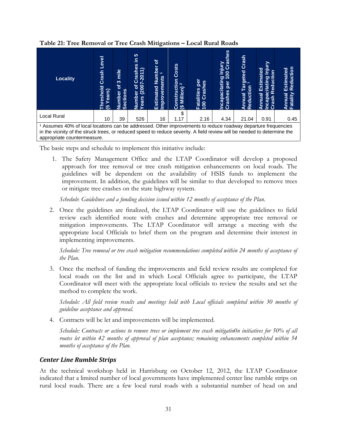| <b>Locality</b>                                                                                                                                                                                                                                                                     | Level<br>Crash<br>reshold<br><b>Years</b> )<br>ಅ | mile<br>ო<br>ð<br>Number c<br>Sections | မာ<br>Ξ<br>Crashes<br>∽<br>$(2007 - 2011$<br>$\overline{\mathbf{b}}$<br>Number<br>Years (2 | চ<br>Number<br>$\overline{ }$<br>ents<br>Estimated<br>Improvem | Costs<br>Construction<br>$\sim$<br>(\$ Million) | per<br>Crashes<br>Fatalities<br>100 Crash | Incapacitating Injury<br>Crashes per 100 Crashes | Crash<br>Targeted<br>ion <sup>3</sup><br>Reduction<br>Annual | <u>Viniury</u><br>Estimated<br>ā<br>Reducti<br>Incapacitating<br>Annual<br>Crash | Reduction<br>Estimated<br>Annual<br>Fatality |
|-------------------------------------------------------------------------------------------------------------------------------------------------------------------------------------------------------------------------------------------------------------------------------------|--------------------------------------------------|----------------------------------------|--------------------------------------------------------------------------------------------|----------------------------------------------------------------|-------------------------------------------------|-------------------------------------------|--------------------------------------------------|--------------------------------------------------------------|----------------------------------------------------------------------------------|----------------------------------------------|
| <b>Local Rural</b>                                                                                                                                                                                                                                                                  | 10                                               | 39                                     | 526                                                                                        | 16                                                             | \$<br>1.17                                      | 2.16                                      | 4.34                                             | 21.04                                                        | 0.91                                                                             | 0.45                                         |
| <sup>1</sup> Assumes 40% of local locations can be addressed. Other improvements to reduce roadway departure frequencies<br>in the vicinity of the struck trees, or reduced speed to reduce severity. A field review will be needed to determine the<br>appropriate countermeasure. |                                                  |                                        |                                                                                            |                                                                |                                                 |                                           |                                                  |                                                              |                                                                                  |                                              |

#### <span id="page-37-1"></span>**Table 21: Tree Removal or Tree Crash Mitigations – Local Rural Roads**

The basic steps and schedule to implement this initiative include:

1. The Safety Management Office and the LTAP Coordinator will develop a proposed approach for tree removal or tree crash mitigation enhancements on local roads. The guidelines will be dependent on the availability of HSIS funds to implement the improvement. In addition, the guidelines will be similar to that developed to remove trees or mitigate tree crashes on the state highway system.

*Schedule*: *Guidelines and a funding decision issued within 12 months of acceptance of the Plan.*

2. Once the guidelines are finalized, the LTAP Coordinator will use the guidelines to field review each identified route with crashes and determine appropriate tree removal or mitigation improvements. The LTAP Coordinator will arrange a meeting with the appropriate local Officials to brief them on the program and determine their interest in implementing improvements.

*Schedule: Tree removal or tree crash mitigation recommendations completed within 24 months of acceptance of the Plan.*

3. Once the method of funding the improvements and field review results are completed for local roads on the list and in which Local Officials agree to participate, the LTAP Coordinator will meet with the appropriate local officials to review the results and set the method to complete the work.

*Schedule: All field review results and meetings held with Local officials completed within 30 months of guideline acceptance and approval.*

4. Contracts will be let and improvements will be implemented.

*Schedule: Contracts or actions to remove trees or implement tree crash mitigatio0n initiatives for 50% of all routes let within 42 months of approval of plan acceptance; remaining enhancements completed within 54 months of acceptance of the Plan.*

## <span id="page-37-0"></span>*Center Line Rumble Strips*

At the technical workshop held in Harrisburg on October 12, 2012, the LTAP Coordinator indicated that a limited number of local governments have implemented center line rumble strips on rural local roads. There are a few local rural roads with a substantial number of head on and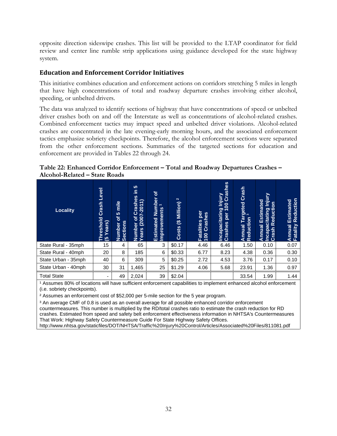opposite direction sideswipe crashes. This list will be provided to the LTAP coordinator for field review and center line rumble strip applications using guidance developed for the state highway system.

## <span id="page-38-0"></span>**Education and Enforcement Corridor Initiatives**

This initiative combines education and enforcement actions on corridors stretching 5 miles in length that have high concentrations of total and roadway departure crashes involving either alcohol, speeding, or unbelted drivers.

The data was analyzed to identify sections of highway that have concentrations of speed or unbelted driver crashes both on and off the Interstate as well as concentrations of alcohol-related crashes. Combined enforcement tactics may impact speed and unbelted driver violations. Alcohol-related crashes are concentrated in the late evening-early morning hours, and the associated enforcement tactics emphasize sobriety checkpoints. Therefore, the alcohol enforcement sections were separated from the other enforcement sections. Summaries of the targeted sections for education and enforcement are provided in Tables 22 through 24.

<span id="page-38-1"></span>

| Table 22: Enhanced Corridor Enforcement - Total and Roadway Departures Crashes - |  |
|----------------------------------------------------------------------------------|--|
| Alcohol-Related – State Roads                                                    |  |

| <b>Locality</b>     | <b>Level</b><br>Crash<br>hreshold<br>rears)<br>ಅ | mile<br><b>10</b><br>চ<br>Number<br>Sections | 10<br>르.<br>6S<br>Crash<br>$\overline{\phantom{0}}$<br>201<br>χ<br><u>৯</u><br>(200)<br>Number<br>Years<br><sup>Years</sup> | ৳<br>Number<br>$\overline{\phantom{0}}$<br>Improvements<br>Estimated | $\boldsymbol{\alpha}$<br>Million)<br>$\hat{\mathbf{e}}$<br>Costs | per<br>Fatalities per<br>100 Crashes | g Injury<br>100 Crashes<br>Incapacitating I<br>Crashes per 10<br>per | Crash<br>Targeted<br>Reduction<br>Annual | <u>Vinjury</u><br>Estimated<br>Reduction<br>Incapacitating<br>Annual<br>Crash | Reduction<br>Estimated<br>Fatality<br>Annual |
|---------------------|--------------------------------------------------|----------------------------------------------|-----------------------------------------------------------------------------------------------------------------------------|----------------------------------------------------------------------|------------------------------------------------------------------|--------------------------------------|----------------------------------------------------------------------|------------------------------------------|-------------------------------------------------------------------------------|----------------------------------------------|
| State Rural - 35mph | 15                                               | 4                                            | 65                                                                                                                          | 3                                                                    | \$0.17                                                           | 4.46                                 | 6.46                                                                 | 1.50                                     | 0.10                                                                          | 0.07                                         |
| State Rural - 40mph | 20                                               | 8                                            | 185                                                                                                                         | 6                                                                    | \$0.33                                                           | 6.77                                 | 8.23                                                                 | 4.38                                     | 0.36                                                                          | 0.30                                         |
| State Urban - 35mph | 40                                               | 6                                            | 309                                                                                                                         | 5                                                                    | \$0.25                                                           | 2.72                                 | 4.53                                                                 | 3.76                                     | 0.17                                                                          | 0.10                                         |
| State Urban - 40mph | 30                                               | 31                                           | 1,465                                                                                                                       | 25                                                                   | \$1.29                                                           | 4.06                                 | 5.68                                                                 | 23.91                                    | 1.36                                                                          | 0.97                                         |
| <b>Total State</b>  | ٠                                                | 49                                           | 2,024                                                                                                                       | 39                                                                   | \$2.04                                                           |                                      |                                                                      | 33.54                                    | 1.99                                                                          | 1.44                                         |

<sup>1</sup> Assumes 80% of locations will have sufficient enforcement capabilities to implement enhanced alcohol enforcement (i.e. sobriety checkpoints).

² Assumes an enforcement cost of \$52,000 per 5-mile section for the 5 year program.

<sup>3</sup> An average CMF of 0.8 is used as an overall average for all possible enhanced corridor enforcement countermeasures. This number is multiplied by the RD/total crashes ratio to estimate the crash reduction for RD crashes. Estimated from speed and safety belt enforcement effectiveness information in NHTSA's Countermeasures That Work: Highway Safety Countermeasure Guide For State Highway Safety Offices.

http://www.nhtsa.gov/staticfiles/DOT/NHTSA/Traffic%20Injury%20Control/Articles/Associated%20Files/811081.pdf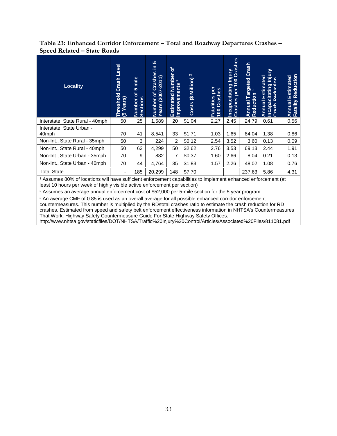<span id="page-39-0"></span>**Table 23: Enhanced Corridor Enforcement – Total and Roadway Departures Crashes – Speed Related – State Roads**

| <b>Locality</b>                    | Level<br>Crash<br>Threshold<br>(5 Years) | mile<br><b>IO</b><br>៍<br>Number c<br>Sections | <b>SC</b><br>Ξ<br>Number of Crashes<br>Years (2007-2011)<br><u>៦</u> | ৳<br><b>Estimated Number</b><br>$\overline{\phantom{0}}$<br>Improvements | $\mathbf{N}$<br>Million)<br>$\overline{\mathbf{e}}$<br><b>Costs</b> | per<br>Crashes<br>Fatalities<br>100 Crash | Incapacitating Injury<br>Creshes per 100 Crashes | Targeted Crash<br>on <sup>3</sup><br>Reduction<br>Annual | Injury<br><b>Annual Estimated</b><br><b>Incapacitating</b><br>Crach Boducti<br>re <sub>c</sub> | Reduction<br>Estimated<br>Fatality<br>Annual |
|------------------------------------|------------------------------------------|------------------------------------------------|----------------------------------------------------------------------|--------------------------------------------------------------------------|---------------------------------------------------------------------|-------------------------------------------|--------------------------------------------------|----------------------------------------------------------|------------------------------------------------------------------------------------------------|----------------------------------------------|
| Interstate, State Rural - 40mph    | 50                                       | 25                                             | 1,589                                                                | 20                                                                       | \$1.04                                                              | 2.27                                      | 2.45                                             | 24.79                                                    | 0.61                                                                                           | 0.56                                         |
| Interstate, State Urban -<br>40mph | 70                                       | 41                                             | 8,541                                                                | 33                                                                       | \$1.71                                                              | 1.03                                      | 1.65                                             | 84.04                                                    | 1.38                                                                                           | 0.86                                         |
| Non-Int., State Rural - 35mph      | 50                                       | 3                                              | 224                                                                  | 2                                                                        | \$0.12                                                              | 2.54                                      | 3.52                                             | 3.60                                                     | 0.13                                                                                           | 0.09                                         |
| Non-Int., State Rural - 40mph      | 50                                       | 63                                             | 4,299                                                                | 50                                                                       | \$2.62                                                              | 2.76                                      | 3.53                                             | 69.13                                                    | 2.44                                                                                           | 1.91                                         |
| Non-Int., State Urban - 35mph      | 70                                       | 9                                              | 882                                                                  | 7                                                                        | \$0.37                                                              | 1.60                                      | 2.66                                             | 8.04                                                     | 0.21                                                                                           | 0.13                                         |
| Non-Int., State Urban - 40mph      | 70                                       | 44                                             | 4,764                                                                | 35                                                                       | \$1.83                                                              | 1.57                                      | 2.26                                             | 48.02                                                    | 1.08                                                                                           | 0.76                                         |
| <b>Total State</b>                 | ٠                                        | 185                                            | 20,299                                                               | 148                                                                      | \$7.70                                                              |                                           |                                                  | 237.63                                                   | 5.86                                                                                           | 4.31                                         |

<sup>1</sup> Assumes 80% of locations will have sufficient enforcement capabilities to implement enhanced enforcement (at least 10 hours per week of highly visible active enforcement per section)

² Assumes an average annual enforcement cost of \$52,000 per 5-mile section for the 5 year program.

<sup>3</sup> An average CMF of 0.85 is used as an overall average for all possible enhanced corridor enforcement

countermeasures. This number is multiplied by the RD/total crashes ratio to estimate the crash reduction for RD crashes. Estimated from speed and safety belt enforcement effectiveness information in NHTSA's Countermeasures That Work: Highway Safety Countermeasure Guide For State Highway Safety Offices.

http://www.nhtsa.gov/staticfiles/DOT/NHTSA/Traffic%20Injury%20Control/Articles/Associated%20Files/811081.pdf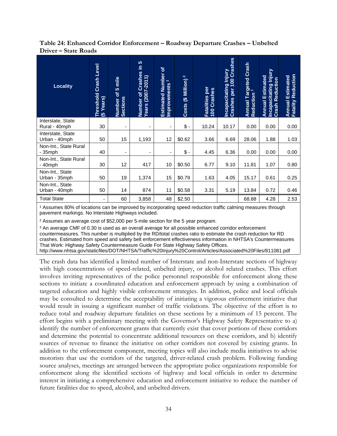#### <span id="page-40-0"></span>**Table 24: Enhanced Corridor Enforcement – Roadway Departure Crashes – Unbelted Driver – State Roads**

| <b>Locality</b>                    | <b>Crash Level</b><br>Threshold<br>(5 Years) | mile<br><b>LO</b><br>$\delta$<br>Number c<br>Sections | 5<br>Ξ<br>Crashes<br>Number of Crashe<br>Years (2007-2011) | $\mathbf{b}$<br><b>Estimated Number</b><br>$\overline{\mathbf{v}}$<br>Improvements | $\mathbf{N}$<br>Costs (\$ Million) | per<br>Crashes<br>Fatalities<br>100 Crash | Crashes<br>Incapacitating Injury<br>100<br>per<br>Crashes | Annual Targeted Crash<br>Reduction <sup>3</sup><br>Reduction | Incapacitating Injury<br><b>Annual Estimated</b><br><b>Crash Reduction</b> | <b>Fatality Reduction</b><br>Estimated<br><b>Annual</b> |
|------------------------------------|----------------------------------------------|-------------------------------------------------------|------------------------------------------------------------|------------------------------------------------------------------------------------|------------------------------------|-------------------------------------------|-----------------------------------------------------------|--------------------------------------------------------------|----------------------------------------------------------------------------|---------------------------------------------------------|
| Interstate, State<br>Rural - 40mph | 30                                           | ٠                                                     | ۰                                                          | ٠                                                                                  | $\sqrt[6]{\cdot}$                  | 10.24                                     | 10.17                                                     | 0.00                                                         | 0.00                                                                       | 0.00                                                    |
| Interstate, State<br>Urban - 40mph | 50                                           | 15                                                    | 1,193                                                      | 12                                                                                 | \$0.62                             | 3.66                                      | 6.69                                                      | 28.06                                                        | 1.88                                                                       | 1.03                                                    |
| Non-Int., State Rural<br>$-35$ mph | 40                                           |                                                       | -                                                          |                                                                                    | $\frac{1}{2}$                      | 4.45                                      | 6.36                                                      | 0.00                                                         | 0.00                                                                       | 0.00                                                    |
| Non-Int., State Rural<br>$-40$ mph | 30                                           | 12                                                    | 417                                                        | 10                                                                                 | \$0.50                             | 6.77                                      | 9.10                                                      | 11.81                                                        | 1.07                                                                       | 0.80                                                    |
| Non-Int., State<br>Urban - 35mph   | 50                                           | 19                                                    | 1,374                                                      | 15                                                                                 | \$0.79                             | 1.63                                      | 4.05                                                      | 15.17                                                        | 0.61                                                                       | 0.25                                                    |
| Non-Int., State<br>Urban - 40mph   | 50                                           | 14                                                    | 874                                                        | 11                                                                                 | \$0.58                             | 3.31                                      | 5.19                                                      | 13.84                                                        | 0.72                                                                       | 0.46                                                    |
| <b>Total State</b>                 | ٠                                            | 60                                                    | 3,858                                                      | 48                                                                                 | \$2.50                             |                                           |                                                           | 68.88                                                        | 4.28                                                                       | 2.53                                                    |

<sup>1</sup> Assumes 80% of locations can be improved by incorporating speed reduction traffic calming measures through pavement markings. No Interstate Highways included.

² Assumes an average cost of \$52,000 per 5-mile section for the 5 year program.

<sup>3</sup> An average CMF of 0.30 is used as an overall average for all possible enhanced corridor enforcement countermeasures. This number is multiplied by the RD/total crashes ratio to estimate the crash reduction for RD crashes. Estimated from speed and safety belt enforcement effectiveness information in NHTSA's Countermeasures That Work: Highway Safety Countermeasure Guide For State Highway Safety Offices. http://www.nhtsa.gov/staticfiles/DOT/NHTSA/Traffic%20Injury%20Control/Articles/Associated%20Files/811081.pdf

The crash data has identified a limited number of Interstate and non-Interstate sections of highway with high concentrations of speed-related, unbelted injury, or alcohol related crashes. This effort involves inviting representatives of the police personnel responsible for enforcement along these sections to initiate a coordinated education and enforcement approach by using a combination of targeted education and highly visible enforcement strategies. In addition, police and local officials may be consulted to determine the acceptability of initiating a vigorous enforcement initiative that would result in issuing a significant number of traffic violations. The objective of the effort is to reduce total and roadway departure fatalities on these sections by a minimum of 15 percent. The effort begins with a preliminary meeting with the Governor's Highway Safety Representative to a) identify the number of enforcement grants that currently exist that cover portions of these corridors and determine the potential to concentrate additional resources on these corridors, and b) identify sources of revenue to finance the initiative on other corridors not covered by existing grants. In addition to the enforcement component, meeting topics will also include media initiatives to advise motorists that use the corridors of the targeted, driver-related crash problem. Following funding source analyses, meetings are arranged between the appropriate police organizations responsible for enforcement along the identified sections of highway and local officials in order to determine interest in initiating a comprehensive education and enforcement initiative to reduce the number of future fatalities due to speed, alcohol, and unbelted drivers.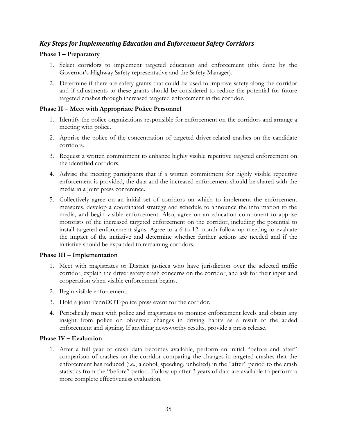## <span id="page-41-0"></span>*Key Steps for Implementing Education and Enforcement Safety Corridors*

#### **Phase 1 – Preparatory**

- 1. Select corridors to implement targeted education and enforcement (this done by the Governor's Highway Safety representative and the Safety Manager).
- 2. Determine if there are safety grants that could be used to improve safety along the corridor and if adjustments to these grants should be considered to reduce the potential for future targeted crashes through increased targeted enforcement in the corridor.

#### **Phase II – Meet with Appropriate Police Personnel**

- 1. Identify the police organizations responsible for enforcement on the corridors and arrange a meeting with police.
- 2. Apprise the police of the concentration of targeted driver-related crashes on the candidate corridors.
- 3. Request a written commitment to enhance highly visible repetitive targeted enforcement on the identified corridors.
- 4. Advise the meeting participants that if a written commitment for highly visible repetitive enforcement is provided, the data and the increased enforcement should be shared with the media in a joint press conference.
- 5. Collectively agree on an initial set of corridors on which to implement the enforcement measures, develop a coordinated strategy and schedule to announce the information to the media, and begin visible enforcement. Also, agree on an education component to apprise motorists of the increased targeted enforcement on the corridor, including the potential to install targeted enforcement signs. Agree to a 6 to 12 month follow-up meeting to evaluate the impact of the initiative and determine whether further actions are needed and if the initiative should be expanded to remaining corridors.

#### **Phase III – Implementation**

- 1. Meet with magistrates or District justices who have jurisdiction over the selected traffic corridor, explain the driver safety crash concerns on the corridor, and ask for their input and cooperation when visible enforcement begins.
- 2. Begin visible enforcement.
- 3. Hold a joint PennDOT-police press event for the corridor.
- 4. Periodically meet with police and magistrates to monitor enforcement levels and obtain any insight from police on observed changes in driving habits as a result of the added enforcement and signing. If anything newsworthy results, provide a press release.

#### **Phase IV – Evaluation**

1. After a full year of crash data becomes available, perform an initial "before and after" comparison of crashes on the corridor comparing the changes in targeted crashes that the enforcement has reduced (i.e., alcohol, speeding, unbelted) in the "after" period to the crash statistics from the "before" period. Follow up after 3 years of data are available to perform a more complete effectiveness evaluation.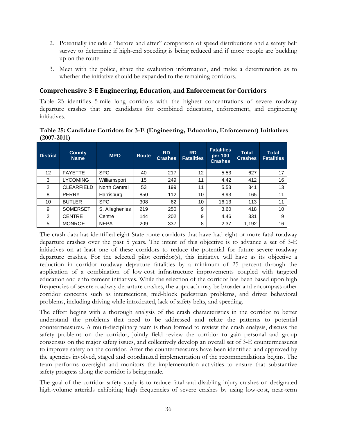- 2. Potentially include a "before and after" comparison of speed distributions and a safety belt survey to determine if high-end speeding is being reduced and if more people are buckling up on the route.
- 3. Meet with the police, share the evaluation information, and make a determination as to whether the initiative should be expanded to the remaining corridors.

## <span id="page-42-0"></span>**Comprehensive 3-E Engineering, Education, and Enforcement for Corridors**

Table 25 identifies 5-mile long corridors with the highest concentrations of severe roadway departure crashes that are candidates for combined education, enforcement, and engineering initiatives.

#### <span id="page-42-1"></span>**Table 25: Candidate Corridors for 3-E (Engineering, Education, Enforcement) Initiatives (2007-2011)**

| <b>District</b>   | <b>County</b><br><b>Name</b> | <b>MPO</b>     | <b>Route</b> | <b>RD</b><br><b>Crashes</b> | <b>RD</b><br><b>Fatalities</b> | <b>Fatalities</b><br>per 100<br><b>Crashes</b> | <b>Total</b><br><b>Crashes</b> | <b>Total</b><br><b>Fatalities</b> |
|-------------------|------------------------------|----------------|--------------|-----------------------------|--------------------------------|------------------------------------------------|--------------------------------|-----------------------------------|
| $12 \overline{ }$ | <b>FAYETTE</b>               | <b>SPC</b>     | 40           | 217                         | 12                             | 5.53                                           | 627                            | 17                                |
| 3                 | <b>LYCOMING</b>              | Williamsport   | 15           | 249                         | 11                             | 4.42                                           | 412                            | 16                                |
| $\overline{2}$    | <b>CLEARFIELD</b>            | North Central  | 53           | 199                         | 11                             | 5.53                                           | 341                            | 13                                |
| 8                 | <b>PERRY</b>                 | Harrisburg     | 850          | 112                         | 10                             | 8.93                                           | 165                            | 11                                |
| 10                | <b>BUTLER</b>                | <b>SPC</b>     | 308          | 62                          | 10                             | 16.13                                          | 113                            | 11                                |
| 9                 | <b>SOMERSET</b>              | S. Alleghenies | 219          | 250                         | 9                              | 3.60                                           | 418                            | 10                                |
| 2                 | <b>CENTRE</b>                | Centre         | 144          | 202                         | 9                              | 4.46                                           | 331                            | 9                                 |
| 5                 | <b>MONROE</b>                | <b>NEPA</b>    | 209          | 337                         | 8                              | 2.37                                           | 1,192                          | 16                                |

The crash data has identified eight State route corridors that have had eight or more fatal roadway departure crashes over the past 5 years. The intent of this objective is to advance a set of 3-E initiatives on at least one of these corridors to reduce the potential for future severe roadway departure crashes. For the selected pilot corridor(s), this initiative will have as its objective a reduction in corridor roadway departure fatalities by a minimum of 25 percent through the application of a combination of low-cost infrastructure improvements coupled with targeted education and enforcement initiatives. While the selection of the corridor has been based upon high frequencies of severe roadway departure crashes, the approach may be broader and encompass other corridor concerns such as intersections, mid-block pedestrian problems, and driver behavioral problems, including driving while intoxicated, lack of safety belts, and speeding.

The effort begins with a thorough analysis of the crash characteristics in the corridor to better understand the problems that need to be addressed and relate the patterns to potential countermeasures. A multi-disciplinary team is then formed to review the crash analysis, discuss the safety problems on the corridor, jointly field review the corridor to gain personal and group consensus on the major safety issues, and collectively develop an overall set of 3-E countermeasures to improve safety on the corridor. After the countermeasures have been identified and approved by the agencies involved, staged and coordinated implementation of the recommendations begins. The team performs oversight and monitors the implementation activities to ensure that substantive safety progress along the corridor is being made.

The goal of the corridor safety study is to reduce fatal and disabling injury crashes on designated high-volume arterials exhibiting high frequencies of severe crashes by using low-cost, near-term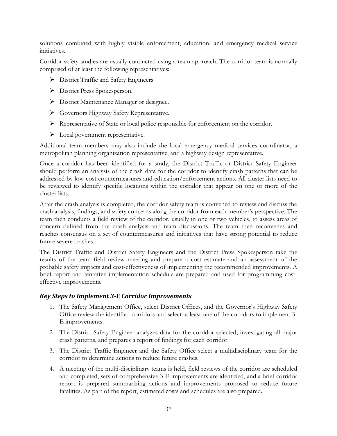solutions combined with highly visible enforcement, education, and emergency medical service initiatives.

Corridor safety studies are usually conducted using a team approach. The corridor team is normally comprised of at least the following representatives:

- $\triangleright$  District Traffic and Safety Engineers.
- District Press Spokesperson.
- District Maintenance Manager or designee.
- Governors Highway Safety Representative.
- Representative of State or local police responsible for enforcement on the corridor.
- $\triangleright$  Local government representative.

Additional team members may also include the local emergency medical services coordinator, a metropolitan planning organization representative, and a highway design representative.

Once a corridor has been identified for a study, the District Traffic or District Safety Engineer should perform an analysis of the crash data for the corridor to identify crash patterns that can be addressed by low-cost countermeasures and education/enforcement actions. All cluster lists need to be reviewed to identify specific locations within the corridor that appear on one or more of the cluster lists.

After the crash analysis is completed, the corridor safety team is convened to review and discuss the crash analysis, findings, and safety concerns along the corridor from each member's perspective. The team then conducts a field review of the corridor, usually in one or two vehicles, to assess areas of concern defined from the crash analysis and team discussions. The team then reconvenes and reaches consensus on a set of countermeasures and initiatives that have strong potential to reduce future severe crashes.

The District Traffic and District Safety Engineers and the District Press Spokesperson take the results of the team field review meeting and prepare a cost estimate and an assessment of the probable safety impacts and cost-effectiveness of implementing the recommended improvements. A brief report and tentative implementation schedule are prepared and used for programming costeffective improvements.

#### <span id="page-43-0"></span>*Key Steps to Implement 3-E Corridor Improvements*

- 1. The Safety Management Office, select District Offices, and the Governor's Highway Safety Office review the identified corridors and select at least one of the corridors to implement 3- E improvements.
- 2. The District Safety Engineer analyzes data for the corridor selected, investigating all major crash patterns, and prepares a report of findings for each corridor.
- 3. The District Traffic Engineer and the Safety Office select a multidisciplinary team for the corridor to determine actions to reduce future crashes.
- 4. A meeting of the multi-disciplinary teams is held, field reviews of the corridor are scheduled and completed, sets of comprehensive 3-E improvements are identified, and a brief corridor report is prepared summarizing actions and improvements proposed to reduce future fatalities. As part of the report, estimated costs and schedules are also prepared.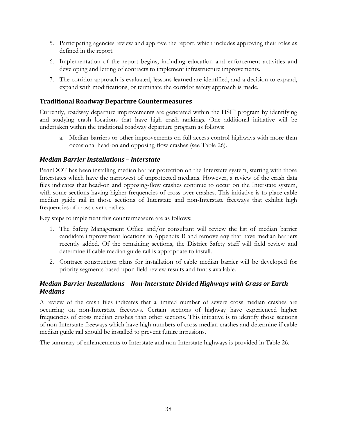- 5. Participating agencies review and approve the report, which includes approving their roles as defined in the report.
- 6. Implementation of the report begins, including education and enforcement activities and developing and letting of contracts to implement infrastructure improvements.
- 7. The corridor approach is evaluated, lessons learned are identified, and a decision to expand, expand with modifications, or terminate the corridor safety approach is made.

## <span id="page-44-0"></span>**Traditional Roadway Departure Countermeasures**

Currently, roadway departure improvements are generated within the HSIP program by identifying and studying crash locations that have high crash rankings. One additional initiative will be undertaken within the traditional roadway departure program as follows:

a. Median barriers or other improvements on full access control highways with more than occasional head-on and opposing-flow crashes (see Table 26).

## <span id="page-44-1"></span>*Median Barrier Installations – Interstate*

PennDOT has been installing median barrier protection on the Interstate system, starting with those Interstates which have the narrowest of unprotected medians. However, a review of the crash data files indicates that head-on and opposing-flow crashes continue to occur on the Interstate system, with some sections having higher frequencies of cross over crashes. This initiative is to place cable median guide rail in those sections of Interstate and non-Interstate freeways that exhibit high frequencies of cross over crashes.

Key steps to implement this countermeasure are as follows:

- 1. The Safety Management Office and/or consultant will review the list of median barrier candidate improvement locations in Appendix B and remove any that have median barriers recently added. Of the remaining sections, the District Safety staff will field review and determine if cable median guide rail is appropriate to install.
- 2. Contract construction plans for installation of cable median barrier will be developed for priority segments based upon field review results and funds available.

# <span id="page-44-2"></span>*Median Barrier Installations – Non-Interstate Divided Highways with Grass or Earth Medians*

A review of the crash files indicates that a limited number of severe cross median crashes are occurring on non-Interstate freeways. Certain sections of highway have experienced higher frequencies of cross median crashes than other sections. This initiative is to identify those sections of non-Interstate freeways which have high numbers of cross median crashes and determine if cable median guide rail should be installed to prevent future intrusions.

The summary of enhancements to Interstate and non-Interstate highways is provided in Table 26.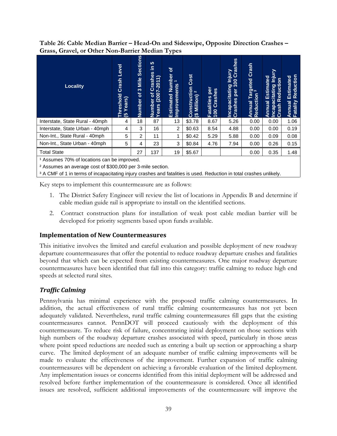<span id="page-45-2"></span>**Table 26: Cable Median Barrier – Head-On and Sideswipe, Opposite Direction Crashes – Grass, Gravel, or Other Non-Barrier Median Types**

| <b>Locality</b>                                        | Level<br>Crash<br>reshold<br>Years)<br>جَ آغ | <b>Sections</b><br><b>Mile</b><br>$\infty$<br>$\overline{\sigma}$<br>Number | <b>10</b><br>ا⊇.<br>89<br>$\overline{\phantom{0}}$<br>Crash<br>$\overline{\phantom{0}}$<br>$(2007 - 201)$<br>៲៵៲<br>Number<br>Years (2 | ৳<br><b>Estimated Number</b><br>Improvements <sup>1</sup> | Cost<br>Construction<br>$\mathbf{\alpha}$<br>Million)<br>$\overline{\mathbf{e}}$ | per<br>Crashes<br>Fatalities<br>100 Crash | Injury<br>00 Crashes<br>$\boldsymbol{8}$<br>Incapacitating<br>Crashes per 1<br>per | Crash<br>Targeted<br>ion <sup>3</sup><br>Reduction<br>Annual | ≥<br><u>iajai</u><br>Estimated<br>$\overline{5}$<br>Incapacitating<br>Crash Reducti<br>Annual | Reduction<br>Estimated<br>Fatality<br>Annual |
|--------------------------------------------------------|----------------------------------------------|-----------------------------------------------------------------------------|----------------------------------------------------------------------------------------------------------------------------------------|-----------------------------------------------------------|----------------------------------------------------------------------------------|-------------------------------------------|------------------------------------------------------------------------------------|--------------------------------------------------------------|-----------------------------------------------------------------------------------------------|----------------------------------------------|
| Interstate, State Rural - 40mph                        | 4                                            | 18                                                                          | 87                                                                                                                                     | 13                                                        | \$3.78                                                                           | 8.67                                      | 5.26                                                                               | 0.00                                                         | 0.00                                                                                          | 1.06                                         |
| Interstate, State Urban - 40mph                        | 4                                            | 3                                                                           | 16                                                                                                                                     | 2                                                         | \$0.63                                                                           | 8.54                                      | 4.88                                                                               | 0.00                                                         | 0.00                                                                                          | 0.19                                         |
| Non-Int., State Rural - 40mph                          | 5                                            | $\overline{2}$                                                              | 11                                                                                                                                     | 1                                                         | \$0.42                                                                           | 5.29                                      | 5.88                                                                               | 0.00                                                         | 0.09                                                                                          | 0.08                                         |
| Non-Int., State Urban - 40mph                          | 5                                            | 4                                                                           | 23                                                                                                                                     | 3                                                         | \$0.84                                                                           | 4.76                                      | 7.94                                                                               | 0.00                                                         | 0.26                                                                                          | 0.15                                         |
| <b>Total State</b>                                     |                                              | 27                                                                          | 137                                                                                                                                    | 19                                                        | \$5.67                                                                           |                                           |                                                                                    | 0.00                                                         | 0.35                                                                                          | 1.48                                         |
| <sup>1</sup> Assumes 70% of locations can be improved. |                                              |                                                                             |                                                                                                                                        |                                                           |                                                                                  |                                           |                                                                                    |                                                              |                                                                                               |                                              |

² Assumes an average cost of \$300,000 per 3-mile section.

<sup>3</sup> A CMF of 1 in terms of incapacitating injury crashes and fatalities is used. Reduction in total crashes unlikely.

Key steps to implement this countermeasure are as follows:

- 1. The District Safety Engineer will review the list of locations in Appendix B and determine if cable median guide rail is appropriate to install on the identified sections.
- 2. Contract construction plans for installation of weak post cable median barrier will be developed for priority segments based upon funds available.

#### <span id="page-45-0"></span>**Implementation of New Countermeasures**

This initiative involves the limited and careful evaluation and possible deployment of new roadway departure countermeasures that offer the potential to reduce roadway departure crashes and fatalities beyond that which can be expected from existing countermeasures. One major roadway departure countermeasures have been identified that fall into this category: traffic calming to reduce high end speeds at selected rural sites.

## <span id="page-45-1"></span>*Traffic Calming*

Pennsylvania has minimal experience with the proposed traffic calming countermeasures. In addition, the actual effectiveness of rural traffic calming countermeasures has not yet been adequately validated. Nevertheless, rural traffic calming countermeasures fill gaps that the existing countermeasures cannot. PennDOT will proceed cautiously with the deployment of this countermeasure. To reduce risk of failure, concentrating initial deployment on those sections with high numbers of the roadway departure crashes associated with speed, particularly in those areas where point speed reductions are needed such as entering a built up section or approaching a sharp curve. The limited deployment of an adequate number of traffic calming improvements will be made to evaluate the effectiveness of the improvement. Further expansion of traffic calming countermeasures will be dependent on achieving a favorable evaluation of the limited deployment. Any implementation issues or concerns identified from this initial deployment will be addressed and resolved before further implementation of the countermeasure is considered. Once all identified issues are resolved, sufficient additional improvements of the countermeasure will improve the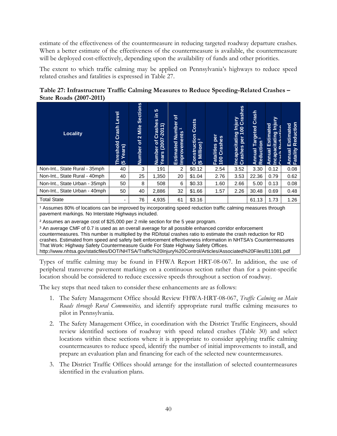estimate of the effectiveness of the countermeasure in reducing targeted roadway departure crashes. When a better estimate of the effectiveness of the countermeasure is available, the countermeasure will be deployed cost-effectively, depending upon the availability of funds and other priorities.

The extent to which traffic calming may be applied on Pennsylvania's highways to reduce speed related crashes and fatalities is expressed in Table 27.

<span id="page-46-0"></span>

|                                | Table 27: Infrastructure Traffic Calming Measures to Reduce Speeding-Related Crashes - |  |  |
|--------------------------------|----------------------------------------------------------------------------------------|--|--|
| <b>State Roads (2007-2011)</b> |                                                                                        |  |  |

| <b>Locality</b>               | Level<br>Crash<br>reshold<br>Years)<br>ਜ ਫ | <b>Sections</b><br><b>Mile</b><br>$\mathbf{\Omega}$<br>្រា<br><b>Number</b> | <b>SC</b><br>르<br>Crashes<br>$\overline{\phantom{0}}$<br>$\overline{\phantom{0}}$<br>$-20$<br>(2007<br>$\mathbf{r}$<br>Number<br>Years (2 | ৳<br>Number<br>$\overline{ }$<br>Improvements<br>Estimated | Costs<br>Construction<br>$\mathbf{\alpha}$<br>Million)<br>$\mathfrak{G}$ | per<br>Crashes<br>Fatalities<br>100 Crash | I Injury<br>00 Crashes<br>$\overline{100}$<br>Incapacitating<br>per<br>Crashes | Crash<br>Targeted<br>ion <sup>3</sup><br>Reduction<br>Annual | <u>Vinjury</u><br>ted<br>Estima<br>ų,<br>Incapacitating<br>こ<br>こ<br>Ď<br>Annual | Reduction<br>Estimated<br>Annual I<br>Fatality |
|-------------------------------|--------------------------------------------|-----------------------------------------------------------------------------|-------------------------------------------------------------------------------------------------------------------------------------------|------------------------------------------------------------|--------------------------------------------------------------------------|-------------------------------------------|--------------------------------------------------------------------------------|--------------------------------------------------------------|----------------------------------------------------------------------------------|------------------------------------------------|
| Non-Int., State Rural - 35mph | 40                                         | 3                                                                           | 191                                                                                                                                       | 2                                                          | \$0.12                                                                   | 2.54                                      | 3.52                                                                           | 3.30                                                         | 0.12                                                                             | 0.08                                           |
| Non-Int., State Rural - 40mph | 40                                         | 25                                                                          | 1,350                                                                                                                                     | 20                                                         | \$1.04                                                                   | 2.76                                      | 3.53                                                                           | 22.36                                                        | 0.79                                                                             | 0.62                                           |
| Non-Int., State Urban - 35mph | 50                                         | 8                                                                           | 508                                                                                                                                       | 6                                                          | \$0.33                                                                   | 1.60                                      | 2.66                                                                           | 5.00                                                         | 0.13                                                                             | 0.08                                           |
| Non-Int., State Urban - 40mph | 50                                         | 40                                                                          | 2,886                                                                                                                                     | 32                                                         | \$1.66                                                                   | 1.57                                      | 2.26                                                                           | 30.48                                                        | 0.69                                                                             | 0.48                                           |
| <b>Total State</b>            | -                                          | 76                                                                          | 4,935                                                                                                                                     | 61                                                         | \$3.16                                                                   |                                           |                                                                                | 61.13                                                        | 1.73                                                                             | 1.26                                           |

<sup>1</sup> Assumes 80% of locations can be improved by incorporating speed reduction traffic calming measures through pavement markings. No Interstate Highways included.

² Assumes an average cost of \$25,000 per 2 mile section for the 5 year program.

³ An average CMF of 0.7 is used as an overall average for all possible enhanced corridor enforcement countermeasures. This number is multiplied by the RD/total crashes ratio to estimate the crash reduction for RD crashes. Estimated from speed and safety belt enforcement effectiveness information in NHTSA's Countermeasures That Work: Highway Safety Countermeasure Guide For State Highway Safety Offices. http://www.nhtsa.gov/staticfiles/DOT/NHTSA/Traffic%20Injury%20Control/Articles/Associated%20Files/811081.pdf

Types of traffic calming may be found in FHWA Report HRT-08-067. In addition, the use of peripheral transverse pavement markings on a continuous section rather than for a point-specific location should be considered to reduce excessive speeds throughout a section of roadway.

The key steps that need taken to consider these enhancements are as follows:

- 1. The Safety Management Office should Review FHWA-HRT-08-067, *Traffic Calming on Main Roads through Rural Communities,* and identify appropriate rural traffic calming measures to pilot in Pennsylvania.
- 2. The Safety Management Office, in coordination with the District Traffic Engineers, should review identified sections of roadway with speed related crashes (Table 30) and select locations within these sections where it is appropriate to consider applying traffic calming countermeasures to reduce speed, identify the number of initial improvements to install, and prepare an evaluation plan and financing for each of the selected new countermeasures.
- 3. The District Traffic Offices should arrange for the installation of selected countermeasures identified in the evaluation plans.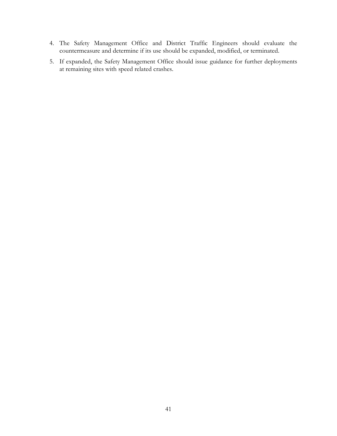- 4. The Safety Management Office and District Traffic Engineers should evaluate the countermeasure and determine if its use should be expanded, modified, or terminated.
- 5. If expanded, the Safety Management Office should issue guidance for further deployments at remaining sites with speed related crashes.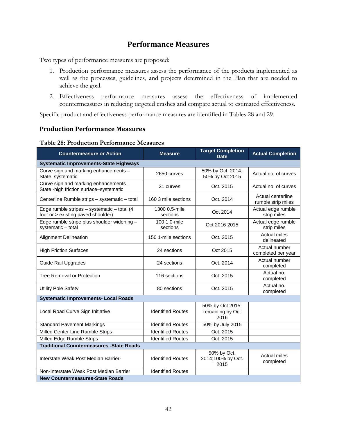# **Performance Measures**

<span id="page-48-0"></span>Two types of performance measures are proposed:

- 1. Production performance measures assess the performance of the products implemented as well as the processes, guidelines, and projects determined in the Plan that are needed to achieve the goal.
- 2. Effectiveness performance measures assess the effectiveness of implemented countermeasures in reducing targeted crashes and compare actual to estimated effectiveness.

Specific product and effectiveness performance measures are identified in Tables 28 and 29.

#### <span id="page-48-1"></span>**Production Performance Measures**

<span id="page-48-2"></span>

| <b>Countermeasure or Action</b>                                                   | <b>Measure</b>            | <b>Target Completion</b><br><b>Date</b>      | <b>Actual Completion</b>                |
|-----------------------------------------------------------------------------------|---------------------------|----------------------------------------------|-----------------------------------------|
| <b>Systematic Improvements-State Highways</b>                                     |                           |                                              |                                         |
| Curve sign and marking enhancements -<br>State, systematic                        | 2650 curves               | 50% by Oct. 2014;<br>50% by Oct 2015         | Actual no. of curves                    |
| Curve sign and marking enhancements -<br>State - high friction surface-systematic | 31 curves                 | Oct. 2015                                    | Actual no. of curves                    |
| Centerline Rumble strips - systematic - total                                     | 160 3 mile sections       | Oct. 2014                                    | Actual centerline<br>rumble strip miles |
| Edge rumble stripes - systematic - total (4<br>foot or > existing paved shoulder) | 1300 0.5-mile<br>sections | Oct 2014                                     | Actual edge rumble<br>strip miles       |
| Edge rumble stripe plus shoulder widening -<br>systematic - total                 | 100 1.0-mile<br>sections  | Oct 2016 2015                                | Actual edge rumble<br>strip miles       |
| <b>Alignment Delineation</b>                                                      | 150 1-mile sections       | Oct. 2015                                    | <b>Actual miles</b><br>delineated       |
| <b>High Friction Surfaces</b>                                                     | 24 sections               | Oct 2015                                     | Actual number<br>completed per year     |
| <b>Guide Rail Upgrades</b>                                                        | 24 sections               | Oct. 2014                                    | Actual number<br>completed              |
| Tree Removal or Protection                                                        | 116 sections              | Oct. 2015                                    | Actual no.<br>completed                 |
| Utility Pole Safety                                                               | 80 sections               | Oct. 2015                                    | Actual no.<br>completed                 |
| <b>Systematic Improvements- Local Roads</b>                                       |                           |                                              |                                         |
| Local Road Curve Sign Initiative                                                  | <b>Identified Routes</b>  | 50% by Oct 2015:<br>remaining by Oct<br>2016 |                                         |
| <b>Standard Pavement Markings</b>                                                 | <b>Identified Routes</b>  | 50% by July 2015                             |                                         |
| Milled Center Line Rumble Strips                                                  | <b>Identified Routes</b>  | Oct. 2015                                    |                                         |
| Milled Edge Rumble Strips                                                         | <b>Identified Routes</b>  | Oct. 2015                                    |                                         |
| <b>Traditional Countermeasures - State Roads</b>                                  |                           |                                              |                                         |
| Interstate Weak Post Median Barrier-                                              | <b>Identified Routes</b>  | 50% by Oct.<br>2014;100% by Oct.<br>2015     | <b>Actual miles</b><br>completed        |
| Non-Interstate Weak Post Median Barrier                                           | <b>Identified Routes</b>  |                                              |                                         |
| <b>New Countermeasures-State Roads</b>                                            |                           |                                              |                                         |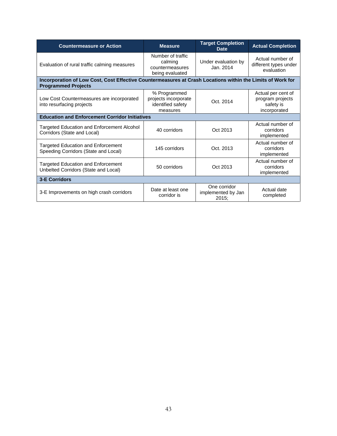| <b>Countermeasure or Action</b>                                                                                                          | <b>Measure</b>                                                        | <b>Target Completion</b><br><b>Date</b>     | <b>Actual Completion</b>                                            |  |  |  |  |  |  |  |  |  |
|------------------------------------------------------------------------------------------------------------------------------------------|-----------------------------------------------------------------------|---------------------------------------------|---------------------------------------------------------------------|--|--|--|--|--|--|--|--|--|
| Evaluation of rural traffic calming measures                                                                                             | Number of traffic<br>calming<br>countermeasures<br>being evaluated    | Under evaluation by<br>Jan. 2014            | Actual number of<br>different types under<br>evaluation             |  |  |  |  |  |  |  |  |  |
| Incorporation of Low Cost, Cost Effective Countermeasures at Crash Locations within the Limits of Work for<br><b>Programmed Projects</b> |                                                                       |                                             |                                                                     |  |  |  |  |  |  |  |  |  |
| Low Cost Countermeasures are incorporated<br>into resurfacing projects                                                                   | % Programmed<br>projects incorporate<br>identified safety<br>measures | Oct. 2014                                   | Actual per cent of<br>program projects<br>safety is<br>incorporated |  |  |  |  |  |  |  |  |  |
| <b>Education and Enforcement Corridor Initiatives</b>                                                                                    |                                                                       |                                             |                                                                     |  |  |  |  |  |  |  |  |  |
| Targeted Education and Enforcement Alcohol<br>Corridors (State and Local)                                                                | 40 corridors                                                          | Oct 2013                                    | Actual number of<br>corridors<br>implemented                        |  |  |  |  |  |  |  |  |  |
| <b>Targeted Education and Enforcement</b><br>Speeding Corridors (State and Local)                                                        | 145 corridors                                                         | Oct. 2013                                   | Actual number of<br>corridors<br>implemented                        |  |  |  |  |  |  |  |  |  |
| <b>Targeted Education and Enforcement</b><br>Unbelted Corridors (State and Local)                                                        | 50 corridors                                                          | Oct 2013                                    | Actual number of<br>corridors<br>implemented                        |  |  |  |  |  |  |  |  |  |
| <b>3-E Corridors</b>                                                                                                                     |                                                                       |                                             |                                                                     |  |  |  |  |  |  |  |  |  |
| 3-E Improvements on high crash corridors                                                                                                 | Date at least one<br>corridor is                                      | One corridor<br>implemented by Jan<br>2015: | Actual date<br>completed                                            |  |  |  |  |  |  |  |  |  |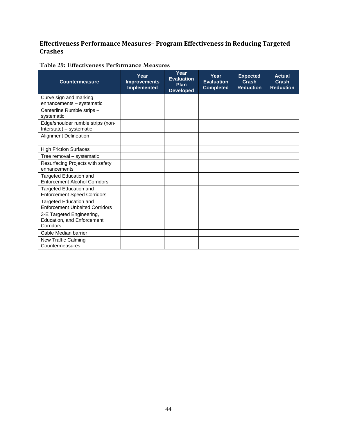# <span id="page-50-0"></span>**Effectiveness Performance Measures– Program Effectiveness in Reducing Targeted Crashes**

<span id="page-50-1"></span>

| <b>Countermeasure</b>                                                | Year<br><b>Improvements</b><br><b>Implemented</b> | Year<br><b>Evaluation</b><br>Plan<br><b>Developed</b> | Year<br><b>Evaluation</b><br><b>Completed</b> | <b>Expected</b><br><b>Crash</b><br><b>Reduction</b> | <b>Actual</b><br>Crash<br><b>Reduction</b> |
|----------------------------------------------------------------------|---------------------------------------------------|-------------------------------------------------------|-----------------------------------------------|-----------------------------------------------------|--------------------------------------------|
| Curve sign and marking<br>enhancements - systematic                  |                                                   |                                                       |                                               |                                                     |                                            |
| Centerline Rumble strips -<br>systematic                             |                                                   |                                                       |                                               |                                                     |                                            |
| Edge/shoulder rumble strips (non-<br>Interstate) - systematic        |                                                   |                                                       |                                               |                                                     |                                            |
| <b>Alignment Delineation</b>                                         |                                                   |                                                       |                                               |                                                     |                                            |
| <b>High Friction Surfaces</b>                                        |                                                   |                                                       |                                               |                                                     |                                            |
| Tree removal - systematic                                            |                                                   |                                                       |                                               |                                                     |                                            |
| Resurfacing Projects with safety<br>enhancements                     |                                                   |                                                       |                                               |                                                     |                                            |
| Targeted Education and<br><b>Enforcement Alcohol Corridors</b>       |                                                   |                                                       |                                               |                                                     |                                            |
| Targeted Education and<br><b>Enforcement Speed Corridors</b>         |                                                   |                                                       |                                               |                                                     |                                            |
| Targeted Education and<br><b>Enforcement Unbelted Corridors</b>      |                                                   |                                                       |                                               |                                                     |                                            |
| 3-E Targeted Engineering,<br>Education, and Enforcement<br>Corridors |                                                   |                                                       |                                               |                                                     |                                            |
| Cable Median barrier                                                 |                                                   |                                                       |                                               |                                                     |                                            |
| New Traffic Calming<br>Countermeasures                               |                                                   |                                                       |                                               |                                                     |                                            |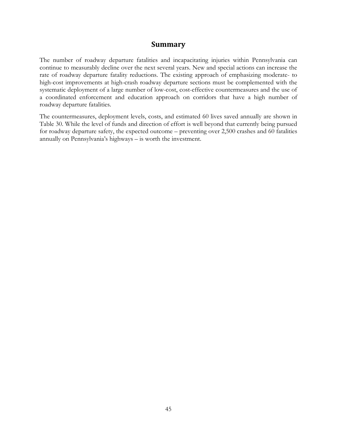## **Summary**

<span id="page-51-0"></span>The number of roadway departure fatalities and incapacitating injuries within Pennsylvania can continue to measurably decline over the next several years. New and special actions can increase the rate of roadway departure fatality reductions. The existing approach of emphasizing moderate- to high-cost improvements at high-crash roadway departure sections must be complemented with the systematic deployment of a large number of low-cost, cost-effective countermeasures and the use of a coordinated enforcement and education approach on corridors that have a high number of roadway departure fatalities.

The countermeasures, deployment levels, costs, and estimated 60 lives saved annually are shown in Table 30. While the level of funds and direction of effort is well beyond that currently being pursued for roadway departure safety, the expected outcome – preventing over 2,500 crashes and 60 fatalities annually on Pennsylvania's highways – is worth the investment.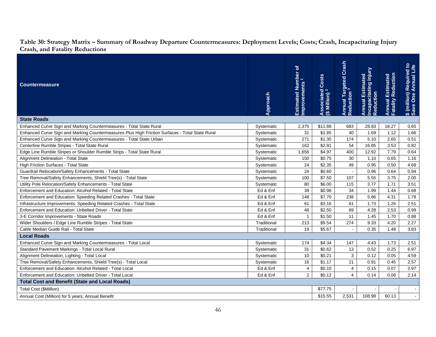<span id="page-52-0"></span>

| Grash, and Patally Requestions                                                                  |             |                                                  |                                                    |                                                 |                                                        |                                        |                                                                   |
|-------------------------------------------------------------------------------------------------|-------------|--------------------------------------------------|----------------------------------------------------|-------------------------------------------------|--------------------------------------------------------|----------------------------------------|-------------------------------------------------------------------|
| <b>Countermeasure</b>                                                                           | Approach    | Estimated Number of<br>Improvements <sup>1</sup> | Costs<br>Associated (<br>(\$ Million) <sup>2</sup> | Annual Targeted Crash<br>Reduction <sup>3</sup> | Annual Estimated<br>Incapacitating Injury<br>Reduction | Annual Estimated<br>Fatality Reduction | <b>Required to</b><br>Annual Life<br>\$ (million) I<br>Save One A |
| <b>State Roads</b>                                                                              |             |                                                  |                                                    |                                                 |                                                        |                                        |                                                                   |
| Enhanced Curve Sign and Marking Countermeasures - Total State Rural                             | Systematic  | 2,375                                            | \$11.88                                            | 683                                             | 28.83                                                  | 18.27                                  | 0.65                                                              |
| Enhanced Curve Sign and Marking Countermeasures Plus High Friction Surfaces - Total State Rural | Systematic  | 31                                               | \$1.85                                             | 40                                              | 1.69                                                   | 1.12                                   | 1.66                                                              |
| Enhanced Curve Sign and Marking Countermeasures - Total State Urban                             | Systematic  | 271                                              | \$1.35                                             | 174                                             | 5.10                                                   | 2.65                                   | 0.51                                                              |
| Centerline Rumble Stripes - Total State Rural                                                   | Systematic  | 162                                              | \$2.91                                             | 54                                              | 16.85                                                  | 3.53                                   | 0.82                                                              |
| Edge Line Rumble Stripes or Shoulder Rumble Strips - Total State Rural                          | Systematic  | 1,656                                            | \$4.97                                             | 400                                             | 12.92                                                  | 7.79                                   | 0.64                                                              |
| Alignment Delineation - Total State                                                             | Systematic  | 150                                              | \$0.75                                             | 30                                              | 1.10                                                   | 0.65                                   | 1.16                                                              |
| High Friction Surfaces - Total State                                                            | Systematic  | 24                                               | \$2.35                                             | 49                                              | 0.95                                                   | 0.50                                   | 4.68                                                              |
| Guardrail Relocation/Safety Enhancements - Total State                                          | Systematic  | 24                                               | \$0.60                                             |                                                 | 0.96                                                   | 0.64                                   | 0.94                                                              |
| Tree Removal/Safety Enhancements, Shield Tree(s) - Total State                                  | Systematic  | 100                                              | \$7.50                                             | 107                                             | 5.55                                                   | 3.75                                   | 2.00                                                              |
| Utility Pole Relocation/Safety Enhancements - Total State                                       | Systematic  | 80                                               | \$6.00                                             | 115                                             | 3.77                                                   | 1.71                                   | 3.51                                                              |
| Enforcement and Education: Alcohol Related - Total State                                        | Ed & Enf    | 39                                               | \$0.98                                             | 34                                              | 1.99                                                   | 1.44                                   | 0.68                                                              |
| Enforcement and Education: Speeding Related Crashes - Total State                               | Ed & Enf    | 148                                              | \$7.70                                             | 238                                             | 5.86                                                   | 4.31                                   | 1.78                                                              |
| Infrastructure Improvements: Speeding Related Crashes - Total State                             | Ed & Enf    | 61                                               | \$3.16                                             | 61                                              | 1.73                                                   | 1.26                                   | 2.51                                                              |
| Enforcement and Education: Unbelted Driver - Total State                                        | Ed & Enf    | 48                                               | \$2.50                                             | 69                                              | 4.28                                                   | 2.53                                   | 0.99                                                              |
| 3-E Corridor Improvements - State Roads                                                         | Ed & Enf    | $\mathbf{1}$                                     | \$1.50                                             | 11                                              | 1.45                                                   | 1.70                                   | 0.88                                                              |
| Wider Shoulders / Edge Line Rumble Stripes - Total State                                        | Traditional | 213                                              | \$9.54                                             | 274                                             | 9.33                                                   | 4.20                                   | 2.27                                                              |
| Cable Median Guide Rail - Total State                                                           | Traditional | 19                                               | \$5.67                                             | $\blacksquare$                                  | 0.35                                                   | 1.48                                   | 3.83                                                              |
| <b>Local Roads</b>                                                                              |             |                                                  |                                                    |                                                 |                                                        |                                        |                                                                   |
| Enhanced Curve Sign and Marking Countermeasures - Total Local                                   | Systematic  | 174                                              | \$4.34                                             | 147                                             | 4.43                                                   | 1.73                                   | 2.51                                                              |
| Standard Pavement Markings - Total Local Rural                                                  | Systematic  | 31                                               | \$0.62                                             | 13                                              | 0.52                                                   | 0.25                                   | 6.97                                                              |
| Alignment Delineation, Lighting - Total Local                                                   | Systematic  | 10 <sup>1</sup>                                  | \$0.21                                             | 3                                               | 0.12                                                   | 0.05                                   | 4.59                                                              |
| Tree Removal/Safety Enhancements, Shield Tree(s) - Total Local                                  | Systematic  | 16                                               | \$1.17                                             | 21                                              | 0.91                                                   | 0.45                                   | 2.57                                                              |
| Enforcement and Education: Alcohol Related - Total Local                                        | Ed & Enf    | $\overline{4}$                                   | \$0.10                                             | 4                                               | 0.15                                                   | 0.07                                   | 2.97                                                              |
| Enforcement and Education: Unbelted Driver - Total Local                                        | \$0.12      | $\overline{4}$                                   | 0.14                                               | 0.06                                            | 2.14                                                   |                                        |                                                                   |
| <b>Total Cost and Benefit (State and Local Roads)</b>                                           |             |                                                  |                                                    |                                                 |                                                        |                                        |                                                                   |
| Total Cost (\$Million)                                                                          |             |                                                  | \$77.75                                            |                                                 |                                                        |                                        |                                                                   |
| Annual Cost (Million) for 5 years; Annual Benefit                                               |             |                                                  | \$15.55                                            | 2,531                                           | 108.98                                                 | 60.13                                  |                                                                   |
|                                                                                                 |             |                                                  |                                                    |                                                 |                                                        |                                        |                                                                   |

#### **Table 30: Strategy Matrix – Summary of Roadway Departure Countermeasures: Deployment Levels; Costs; Crash, Incapacitating Injury Crash, and Fatality Reductions**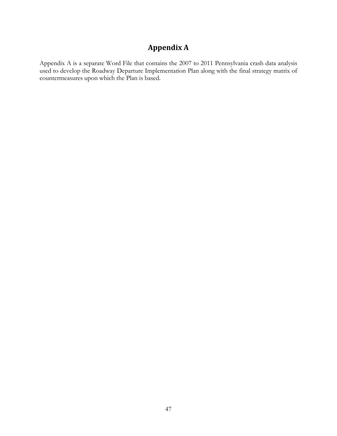# **Appendix A**

<span id="page-53-0"></span>Appendix A is a separate Word File that contains the 2007 to 2011 Pennsylvania crash data analysis used to develop the Roadway Departure Implementation Plan along with the final strategy matrix of countermeasures upon which the Plan is based.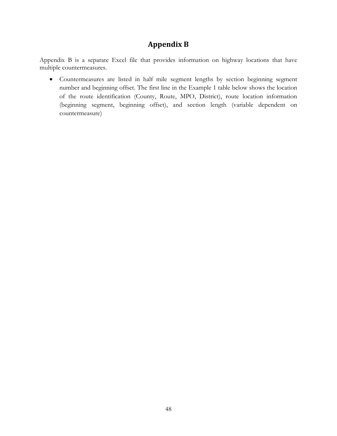# **Appendix B**

<span id="page-54-0"></span>Appendix B is a separate Excel file that provides information on highway locations that have multiple countermeasures.

• Countermeasures are listed in half mile segment lengths by section beginning segment number and beginning offset. The first line in the Example 1 table below shows the location of the route identification (County, Route, MPO, District), route location information (beginning segment, beginning offset), and section length (variable dependent on countermeasure)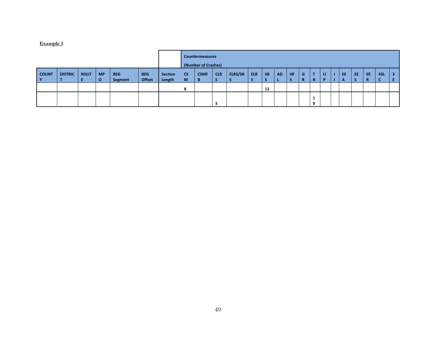#### **Example 1**

|                          |                |             |                       |                       |                             |                          | <b>Countermeasures</b><br>(Number of Crashes) |                  |            |                |            |           |           |    |         |         |        |         |     |                |     |         |
|--------------------------|----------------|-------------|-----------------------|-----------------------|-----------------------------|--------------------------|-----------------------------------------------|------------------|------------|----------------|------------|-----------|-----------|----|---------|---------|--------|---------|-----|----------------|-----|---------|
| <b>COUNT</b><br><b>Y</b> | <b>DISTRIC</b> | <b>ROUT</b> | <b>MP</b><br>$\Omega$ | <b>BEG</b><br>Segment | <b>BEG</b><br><b>Offset</b> | <b>Section</b><br>Length | <b>CS</b><br><b>M</b>                         | <b>CSMF</b><br>B | <b>CLR</b> | <b>ELRS/SR</b> | <b>ELR</b> | <b>SR</b> | <b>AD</b> | HF | G<br>R. | т<br>R. | U<br>D | EE<br>A | EE. | <b>EE</b><br>R | 43L | -3<br>Ε |
|                          |                |             |                       |                       |                             |                          | 8                                             |                  |            |                |            | 13        |           |    |         |         |        |         |     |                |     |         |
|                          |                |             |                       |                       |                             |                          |                                               |                  |            |                |            |           |           |    |         | o       |        |         |     |                |     |         |